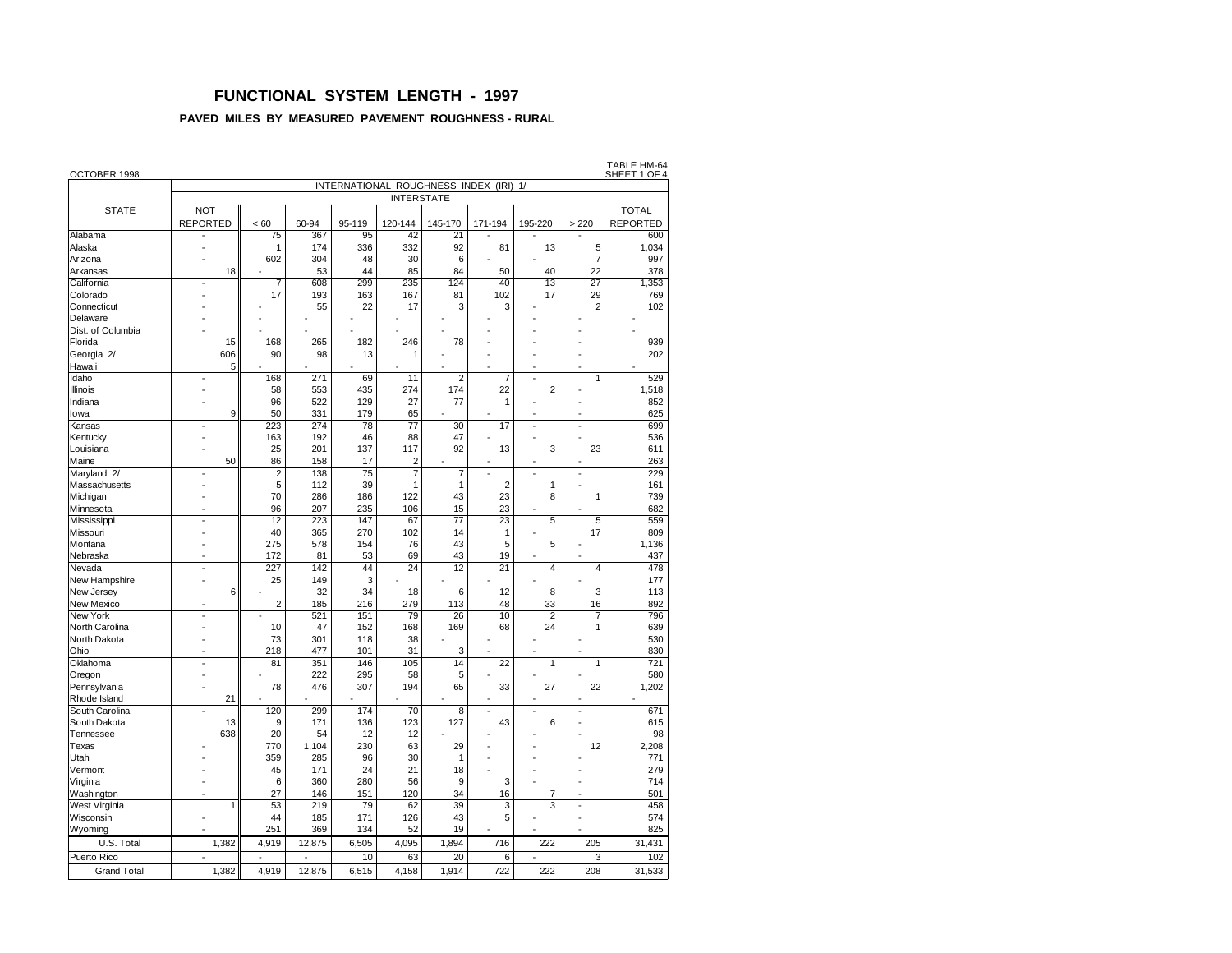## **FUNCTIONAL SYSTEM LENGTH - 1997**

#### **PAVED MILES BY MEASURED PAVEMENT ROUGHNESS - RURAL**

| OCTOBER 1998       |                 |                |           |          |                   | INTERNATIONAL ROUGHNESS INDEX (IRI) 1/ |                       |                          |                          | SHEET 1 OF 4    |
|--------------------|-----------------|----------------|-----------|----------|-------------------|----------------------------------------|-----------------------|--------------------------|--------------------------|-----------------|
|                    |                 |                |           |          | <b>INTERSTATE</b> |                                        |                       |                          |                          |                 |
| <b>STATE</b>       | <b>NOT</b>      |                |           |          |                   |                                        |                       |                          |                          | <b>TOTAL</b>    |
|                    | <b>REPORTED</b> | < 60           | 60-94     | 95-119   | 120-144           | 145-170                                | 171-194               | 195-220                  | >220                     | <b>REPORTED</b> |
| Alabama            |                 | 75             | 367       | 95       | 42                | 21                                     |                       |                          |                          | 600             |
| Alaska             |                 | $\mathbf{1}$   | 174       | 336      | 332               | 92                                     | 81                    | 13                       | 5                        | 1,034           |
| Arizona            |                 | 602            | 304       | 48       | 30                | 6                                      |                       |                          | $\overline{7}$           | 997             |
| Arkansas           | 18              |                | 53        | 44       | 85                | 84                                     | 50                    | 40                       | 22                       | 378             |
| California         |                 | $\overline{7}$ | 608       | 299      | 235               | 124                                    | 40                    | 13                       | 27                       | 1,353           |
| Colorado           |                 | 17             | 193       | 163      | 167               | 81                                     | 102                   | 17                       | 29                       | 769             |
| Connecticut        |                 |                | 55        | 22       | 17                | 3                                      | 3                     |                          | $\overline{2}$           | 102             |
| Delaware           |                 |                |           |          |                   |                                        |                       |                          |                          |                 |
| Dist. of Columbia  |                 |                |           |          | $\overline{a}$    |                                        |                       |                          | L                        | $\overline{a}$  |
| Florida            | 15              | 168            | 265       | 182      | 246               | 78                                     |                       |                          |                          | 939             |
| Georgia 2/         | 606             | 90             | 98        | 13       | 1                 |                                        |                       |                          |                          | 202             |
| Hawaii             | 5               |                |           |          |                   |                                        |                       |                          | ä,                       |                 |
| Idaho              | $\overline{a}$  | 168            | 271       | 69       | 11                | $\overline{2}$                         | 7                     | $\overline{a}$           | 1                        | 529             |
| <b>Illinois</b>    |                 | 58             | 553       | 435      | 274               | 174                                    | 22                    | 2                        |                          | 1,518           |
| Indiana            |                 | 96             | 522       | 129      | 27                | 77                                     | 1                     |                          | $\overline{a}$           | 852             |
| lowa               | 9               | 50             | 331       | 179      | 65                |                                        |                       |                          |                          | 625             |
| Kansas             |                 | 223            | 274       | 78       | 77                | 30                                     | 17                    | $\overline{\phantom{a}}$ | ÷                        | 699             |
| Kentucky           |                 | 163            | 192       | 46       | 88                | 47                                     |                       |                          |                          | 536             |
| Louisiana          |                 | 25             | 201       | 137      | 117               | 92                                     | 13                    | 3                        | 23                       | 611             |
| Maine              | 50              | 86             | 158       | 17       | $\overline{2}$    |                                        |                       |                          |                          | 263             |
| Maryland 2/        |                 | $\overline{2}$ | 138       | 75       | $\overline{7}$    | $\overline{7}$                         |                       |                          | ÷,                       | 229             |
| Massachusetts      |                 | 5              | 112       | 39       | 1                 | $\mathbf{1}$                           | $\overline{2}$        | 1                        | $\overline{a}$           | 161             |
| Michigan           |                 | 70             | 286       | 186      | 122               | 43                                     | 23                    | 8                        | 1                        | 739             |
| Minnesota          |                 | 96             | 207       | 235      | 106               | 15                                     | 23                    |                          |                          | 682             |
|                    |                 | 12             | 223       | 147      |                   | 77                                     | 23                    | 5                        | 5                        | 559             |
| Mississippi        |                 | 40             | 365       | 270      | 67<br>102         | 14                                     |                       |                          | 17                       | 809             |
| Missouri           |                 |                |           |          |                   |                                        | 1                     |                          |                          |                 |
| Montana            |                 | 275            | 578<br>81 | 154      | 76                | 43<br>43                               | 5                     | 5                        |                          | 1,136           |
| Nebraska           |                 | 172<br>227     | 142       | 53<br>44 | 69<br>24          | 12                                     | 19<br>$\overline{21}$ | 4                        | $\overline{\mathbf{4}}$  | 437<br>478      |
| Nevada             |                 |                |           |          |                   |                                        |                       |                          |                          |                 |
| New Hampshire      |                 | 25             | 149       | 3        |                   |                                        |                       |                          |                          | 177             |
| New Jersey         | 6               |                | 32        | 34       | 18                | 6                                      | 12                    | 8                        | 3                        | 113             |
| New Mexico         |                 | $\overline{2}$ | 185       | 216      | 279               | 113                                    | 48                    | 33                       | 16                       | 892             |
| <b>New York</b>    |                 |                | 521       | 151      | 79                | 26                                     | 10                    | $\overline{2}$           | 7                        | 796             |
| North Carolina     |                 | 10             | 47        | 152      | 168               | 169                                    | 68                    | 24                       | 1                        | 639             |
| North Dakota       |                 | 73             | 301       | 118      | 38                |                                        |                       |                          |                          | 530             |
| Ohio               |                 | 218            | 477       | 101      | 31                | 3                                      | ٠                     |                          | ä,                       | 830             |
| Oklahoma           |                 | 81             | 351       | 146      | 105               | 14                                     | 22                    | 1                        | 1                        | 721             |
| Oregon             |                 |                | 222       | 295      | 58                | 5                                      |                       |                          |                          | 580             |
| Pennsylvania       |                 | 78             | 476       | 307      | 194               | 65                                     | 33                    | 27                       | 22                       | 1,202           |
| Rhode Island       | 21              |                |           |          | ÷,                |                                        |                       |                          |                          | ٠               |
| South Carolina     |                 | 120            | 299       | 174      | 70                | 8                                      |                       | ÷,                       | $\overline{\phantom{a}}$ | 671             |
| South Dakota       | 13              | 9              | 171       | 136      | 123               | 127                                    | 43                    | 6                        |                          | 615             |
| Tennessee          | 638             | 20             | 54        | 12       | 12                |                                        |                       |                          |                          | 98              |
| Texas              |                 | 770            | 1,104     | 230      | 63                | 29                                     |                       |                          | 12                       | 2,208           |
| Utah               |                 | 359            | 285       | 96       | 30                | $\mathbf{1}$                           | Ĭ.                    |                          |                          | 771             |
| Vermont            |                 | 45             | 171       | 24       | 21                | 18                                     |                       |                          |                          | 279             |
| Virginia           |                 | 6              | 360       | 280      | 56                | 9                                      | 3                     |                          | l,                       | 714             |
| Washington         |                 | 27             | 146       | 151      | 120               | 34                                     | 16                    | 7                        |                          | 501             |
| West Virginia      | 1               | 53             | 219       | 79       | 62                | 39                                     | 3                     | 3                        | ä,                       | 458             |
| Wisconsin          |                 | 44             | 185       | 171      | 126               | 43                                     | 5                     | ÷                        | L.                       | 574             |
| Wyoming            |                 | 251            | 369       | 134      | 52                | 19                                     |                       |                          |                          | 825             |
| U.S. Total         | 1,382           | 4,919          | 12,875    | 6,505    | 4,095             | 1,894                                  | 716                   | 222                      | 205                      | 31,431          |
| Puerto Rico        |                 | $\blacksquare$ | ÷         | 10       | 63                | 20                                     | 6                     |                          | 3                        | 102             |
| <b>Grand Total</b> | 1.382           | 4.919          | 12.875    | 6.515    | 4.158             | 1,914                                  | 722                   | 222                      | 208                      | 31.533          |
|                    |                 |                |           |          |                   |                                        |                       |                          |                          |                 |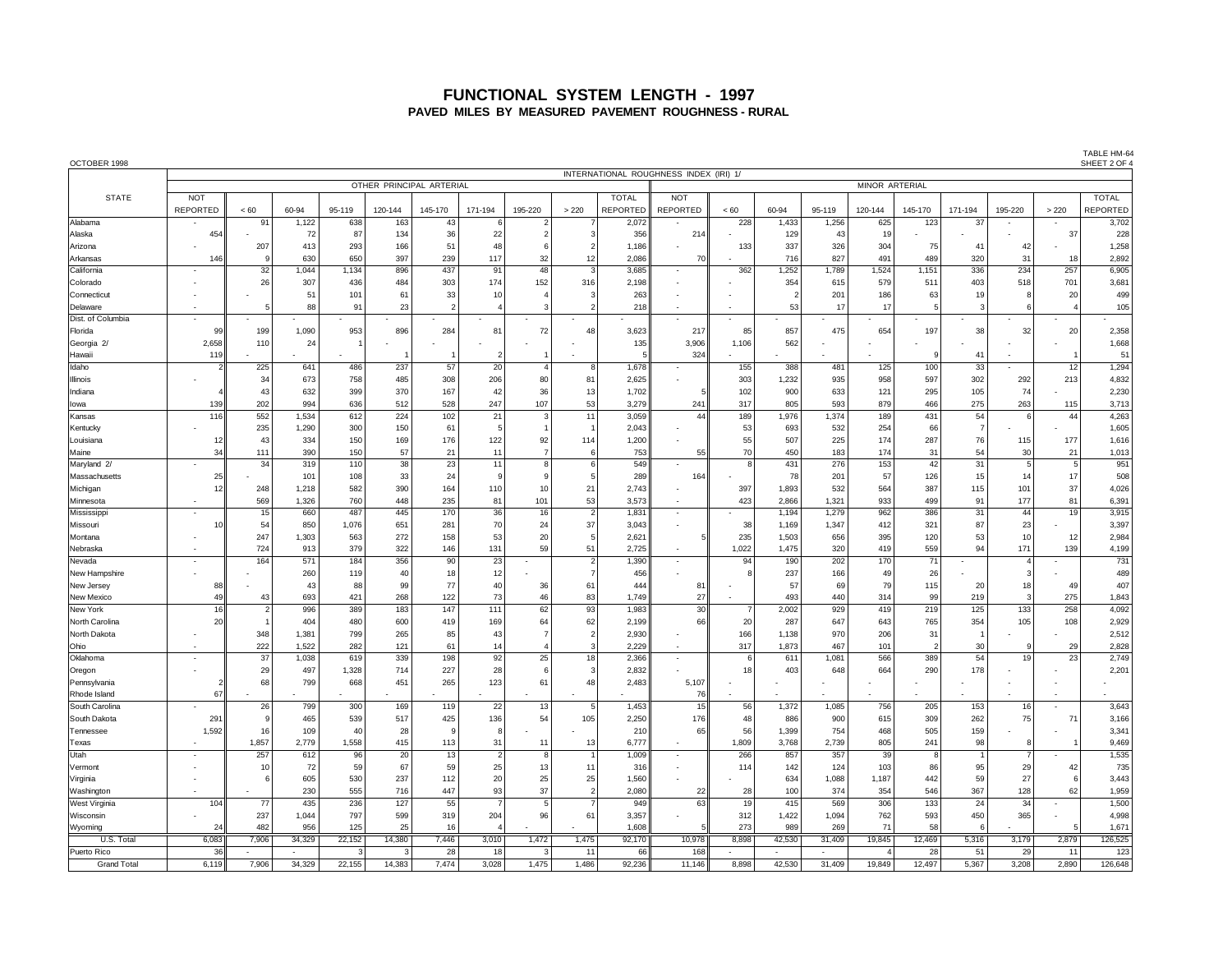### **FUNCTIONAL SYSTEM LENGTH - 1997 PAVED MILES BY MEASURED PAVEMENT ROUGHNESS - RURAL**

| INTERNATIONAL ROUGHNESS INDEX (IRI) 1/<br>OTHER PRINCIPAL ARTERIAL<br><b>MINOR ARTERIAL</b><br><b>STATE</b><br><b>NOT</b><br><b>TOTAL</b><br><b>NOT</b><br><b>REPORTED</b><br>< 60<br>60-94<br>95-119<br>171-194<br>195-220<br>>220<br><b>REPORTED</b><br><b>REPORTED</b><br>< 60<br>60-94<br>95-119<br>145-170<br>171-194<br>195-220<br>> 220<br>120-144<br>145-170<br>120-144<br>Alabama<br>91<br>1,122<br>638<br>163<br>43<br>2,072<br>228<br>1.433<br>1,256<br>625<br>123<br>37<br>36<br>22<br>356<br>Alaska<br>454<br>72<br>87<br>134<br>$\overline{2}$<br>214<br>129<br>43<br>19<br>37<br>413<br>293<br>166<br>51<br>48<br>133<br>337<br>326<br>75<br>Arizona<br>207<br>1,186<br>304<br>41<br>42<br>239<br>117<br>Arkansas<br>146<br>630<br>650<br>397<br>32<br>12<br>2.086<br>70<br>716<br>827<br>491<br>489<br>320<br>31<br>18<br>9<br>California<br>32<br>1,044<br>1,134<br>896<br>437<br>91<br>48<br>3,685<br>362<br>1,252<br>1,789<br>1,524<br>1,151<br>336<br>234<br>257<br>26<br>307<br>436<br>484<br>303<br>174<br>152<br>316<br>2,198<br>354<br>615<br>511<br>403<br>518<br>701<br>Colorado<br>579<br>51<br>101<br>61<br>33<br>10<br>263<br>201<br>186<br>63<br>19<br>20<br>Connecticut<br>$\overline{2}$<br>۶<br>53<br>5<br>88<br>91<br>23<br>$\overline{2}$<br>3<br>218<br>17<br>17<br>3<br>Delaware<br>$5\overline{5}$<br>6<br>$\boldsymbol{\Delta}$<br>Dist. of Columbia<br>199<br>1,090<br>953<br>896<br>72<br>48<br>3,623<br>85<br>857<br>475<br>654<br>197<br>38<br>32<br>Florida<br>99<br>284<br>81<br>217<br>20<br>562<br>2,658<br>110<br>135<br>3,906<br>1,106<br>24<br> Georgia 2/<br>119<br>324<br>41<br>Hawai<br>5<br>q<br>$\mathbf{1}$<br>237<br>57<br>20<br>1,678<br>388<br>481<br>100<br>33<br>12<br>Idaho<br>225<br>641<br>486<br>155<br>125<br>$\mathbf{A}$<br>я.<br>Illinois<br>34<br>673<br>758<br>485<br>308<br>206<br>80<br>81<br>2,625<br>303<br>1,232<br>935<br>958<br>597<br>302<br>292<br>213<br>43<br>632<br>399<br>370<br>167<br>42<br>36<br>13<br>1,702<br>102<br>900<br>633<br>121<br>295<br>105<br>74<br>Indiana<br>139<br>202<br>994<br>636<br>512<br>528<br>247<br>107<br>53<br>3,279<br>317<br>805<br>593<br>879<br>466<br>275<br>263<br>115<br>241<br>llowa<br>116<br>552<br>1,534<br>612<br>224<br>102<br>21<br>11<br>44<br>1,374<br>431<br>54<br>44<br>3,059<br>189<br>1,976<br>189<br>6<br>Kansas<br>-3<br>235<br>1,290<br>300<br>150<br>61<br>2,043<br>53<br>693<br>532<br>254<br>66<br>$\overline{7}$<br>Kentucky<br>43<br>334<br>150<br>169<br>176<br>122<br>1,200<br>55<br>507<br>225<br>174<br>287<br>76<br>177<br>92<br>114<br>115<br>Louisiana<br>1 <sup>1</sup><br>34<br>111<br>390<br>150<br>57<br>21<br>$\overline{7}$<br>753<br>70<br>450<br>183<br>174<br>31<br>21<br>Maine<br>11<br>55<br>54<br>30<br>6<br>34<br>110<br>23<br>11<br>8<br>549<br>431<br>276<br>42<br>31<br>5<br>319<br>38<br>153<br>5 <sub>5</sub><br>Maryland 2/<br>6<br>ε<br>101<br>24<br>78<br>57<br>126<br>15<br>14<br>$17\,$<br>25<br>108<br>33<br>289<br>164<br>201<br>Massachusetts<br>$\alpha$<br><b>q</b><br>582<br>390<br>21<br>1,893<br>532<br>387<br>101<br>37<br>12<br>248<br>1,218<br>164<br>110<br>10<br>2,743<br>397<br>564<br>115<br>Michigan<br>٠.<br>569<br>760<br>448<br>235<br>81<br>53<br>423<br>1,321<br>499<br>177<br>81<br>1,326<br>101<br>3,573<br>2,866<br>933<br>91<br>Minnesota<br>170<br>36<br>15<br>487<br>445<br>1,831<br>1,194<br>1,279<br>962<br>386<br>31<br>44<br>19<br>660<br>16<br>$\overline{2}$<br>Mississipp<br>$\overline{\phantom{a}}$<br>54<br>1,076<br>70<br>37<br>38<br>1,347<br>412<br>321<br>23<br>Missouri<br>850<br>651<br>281<br>24<br>3,043<br>1,169<br>87<br>11<br>247<br>53<br>2,621<br>10<br>1,303<br>563<br>272<br>158<br>20<br>235<br>1,503<br>656<br>395<br>120<br>53<br>12<br> Montana<br>724<br>131<br>59<br>51<br>559<br>171<br>913<br>379<br>322<br>146<br>2,725<br>1,022<br>1,475<br>320<br>419<br>94<br>139<br>Nebraska<br>164<br>571<br>184<br>356<br>23<br>94<br>170<br>71<br>90<br>1,390<br>190<br>202<br>Nevada<br>$\overline{2}$<br>$\boldsymbol{\Delta}$<br>$\overline{\phantom{a}}$<br>40<br>18<br>237<br>26<br>New Hampshire<br>260<br>119<br>12<br>456<br>166<br>49<br>f.<br>99<br>77<br>57<br>69<br>New Jersey<br>88<br>43<br>88<br>40<br>36<br>61<br>444<br>81<br>79<br>115<br>20<br>18<br>49<br>122<br>49<br>693<br>421<br>73<br>83<br>27<br>493<br>440<br>99<br>275<br>43<br>268<br>46<br>1,749<br>314<br>219<br>New Mexico<br>3<br>30<br>16<br>$\overline{2}$<br>389<br>183<br>147<br>111<br>62<br>93<br>125<br>133<br>258<br>996<br>1,983<br>2,002<br>929<br>419<br>219<br>New York<br>20<br>62<br>20<br>287<br>647<br>105<br>108<br>North Carolina<br>404<br>480<br>600<br>419<br>169<br>64<br>2,199<br>66<br>643<br>765<br>354<br>799<br>970<br>31<br>North Dakota<br>348<br>1,381<br>265<br>85<br>43<br>2,930<br>166<br>1,138<br>206<br>$\overline{7}$<br>$\mathcal{P}$<br>222<br>61<br>30<br>Ohio<br>1,522<br>282<br>121<br>2,229<br>317<br>1,873<br>467<br>101<br>29<br>14<br>2<br>-9<br>37<br>92<br>25<br>Oklahoma<br>1,038<br>619<br>339<br>198<br>18<br>2,366<br>1,081<br>566<br>54<br>19<br>611<br>389<br>23<br>6<br>29<br>227<br>28<br>497<br>1,328<br>714<br>2,832<br>18<br>403<br>648<br>664<br>290<br>178<br>Oregon<br>6<br>68<br>265<br>123<br>48<br>799<br>668<br>451<br>61<br>2,483<br>Pennsylvania<br>5,107<br>67<br>76<br>Rhode Island<br>South Carolina<br>26<br>799<br>300<br>169<br>119<br>22<br>13<br>1,453<br>15<br>56<br>1,372<br>1,085<br>756<br>205<br>153<br>16<br>5<br>75<br>291<br>465<br>539<br>425<br>136<br>54<br>105<br>2,250<br>176<br>48<br>900<br>262<br>South Dakota<br>9<br>517<br>886<br>615<br>309<br>71<br>1,592<br>16<br>109<br>40<br>28<br>210<br>65<br>56<br>1,399<br>754<br>468<br>505<br>159<br>Tennessee<br>9<br>1,857<br>1,558<br>31<br>6,777<br>2,779<br>415<br>113<br>11<br>13<br>1,809<br>3,768<br>2,739<br>805<br>241<br>98<br>Texas<br>Utah<br>257<br>612<br>96<br>20<br>13<br>1,009<br>266<br>857<br>357<br>39<br>$\overline{2}$<br>8<br>$\overline{\phantom{a}}$<br>8<br>$\overline{1}$<br>72<br>59<br>67<br>59<br>25<br>13<br>142<br>124<br>86<br>95<br>29<br>Vermont<br>10<br>11<br>316<br>114<br>103<br>42<br>27<br>605<br>20<br>25<br>Virginia<br>6<br>530<br>237<br>112<br>25<br>1,560<br>634<br>1,088<br>1,187<br>442<br>59<br>6<br>230<br>555<br>447<br>93<br>37<br>128<br>Washington<br>716<br>2,080<br>22<br>28<br>100<br>374<br>354<br>546<br>367<br>62<br><b>West Virginia</b><br>104<br>77<br>435<br>236<br>127<br>55<br>949<br>63<br>415<br>569<br>306<br>133<br>24<br>34<br>5<br>19<br>237<br>1,044<br>797<br>599<br>319<br>204<br>96<br>61<br>3,357<br>312<br>1,422<br>1,094<br>762<br>593<br>450<br>365<br>Wisconsin<br>482<br>956<br>125<br>25<br>16<br>1,608<br>273<br>989<br>269<br>71<br>58<br>Wyoming<br>24<br>6<br>5<br>7,906<br>1,472<br>8,898<br>19,845<br>3,179<br>2,879<br>U.S. Total<br>6,083<br>34,329<br>22,152<br>14,380<br>7,446<br>3,010<br>1,475<br>92,170<br>10,978<br>42,530<br>31,409<br>12,469<br>5,316<br>36<br>28<br>18<br>66<br>168<br>28<br>51<br>29<br>Puerto Rico<br>3<br>$\mathbf{3}$<br>3<br>11<br>$\overline{4}$<br>11 | OCTOBER 1998       |       |       |        |        |        |       |       |       |       |        |        |       |        |        |        |        |       |       |       | TABLE HM-64<br>SHEET 2 OF 4     |
|---------------------------------------------------------------------------------------------------------------------------------------------------------------------------------------------------------------------------------------------------------------------------------------------------------------------------------------------------------------------------------------------------------------------------------------------------------------------------------------------------------------------------------------------------------------------------------------------------------------------------------------------------------------------------------------------------------------------------------------------------------------------------------------------------------------------------------------------------------------------------------------------------------------------------------------------------------------------------------------------------------------------------------------------------------------------------------------------------------------------------------------------------------------------------------------------------------------------------------------------------------------------------------------------------------------------------------------------------------------------------------------------------------------------------------------------------------------------------------------------------------------------------------------------------------------------------------------------------------------------------------------------------------------------------------------------------------------------------------------------------------------------------------------------------------------------------------------------------------------------------------------------------------------------------------------------------------------------------------------------------------------------------------------------------------------------------------------------------------------------------------------------------------------------------------------------------------------------------------------------------------------------------------------------------------------------------------------------------------------------------------------------------------------------------------------------------------------------------------------------------------------------------------------------------------------------------------------------------------------------------------------------------------------------------------------------------------------------------------------------------------------------------------------------------------------------------------------------------------------------------------------------------------------------------------------------------------------------------------------------------------------------------------------------------------------------------------------------------------------------------------------------------------------------------------------------------------------------------------------------------------------------------------------------------------------------------------------------------------------------------------------------------------------------------------------------------------------------------------------------------------------------------------------------------------------------------------------------------------------------------------------------------------------------------------------------------------------------------------------------------------------------------------------------------------------------------------------------------------------------------------------------------------------------------------------------------------------------------------------------------------------------------------------------------------------------------------------------------------------------------------------------------------------------------------------------------------------------------------------------------------------------------------------------------------------------------------------------------------------------------------------------------------------------------------------------------------------------------------------------------------------------------------------------------------------------------------------------------------------------------------------------------------------------------------------------------------------------------------------------------------------------------------------------------------------------------------------------------------------------------------------------------------------------------------------------------------------------------------------------------------------------------------------------------------------------------------------------------------------------------------------------------------------------------------------------------------------------------------------------------------------------------------------------------------------------------------------------------------------------------------------------------------------------------------------------------------------------------------------------------------------------------------------------------------------------------------------------------------------------------------------------------------------------------------------------------------------------------------------------------------------------------------------------------------------------------------------------------------------------------------------------------------------------------------------------------------------------------------------------------------------------------------------------------------------------------------------------------------------------------------------------------------------------------------------------------------------------------------------------------------------------------------------------------------------------------------------------------------------------------------------------------------------------------------------------------------------------------------------------------------------------------------------------------------------------------------------------------------------------------------------------------------------------------------------------------------------------------------------------------------------------------------------------------------------------------------------------------------------------------------------------------------------------------------------------------------------------------------------------------------------------------------------------------------------------------------------------------------------------------------------------|--------------------|-------|-------|--------|--------|--------|-------|-------|-------|-------|--------|--------|-------|--------|--------|--------|--------|-------|-------|-------|---------------------------------|
|                                                                                                                                                                                                                                                                                                                                                                                                                                                                                                                                                                                                                                                                                                                                                                                                                                                                                                                                                                                                                                                                                                                                                                                                                                                                                                                                                                                                                                                                                                                                                                                                                                                                                                                                                                                                                                                                                                                                                                                                                                                                                                                                                                                                                                                                                                                                                                                                                                                                                                                                                                                                                                                                                                                                                                                                                                                                                                                                                                                                                                                                                                                                                                                                                                                                                                                                                                                                                                                                                                                                                                                                                                                                                                                                                                                                                                                                                                                                                                                                                                                                                                                                                                                                                                                                                                                                                                                                                                                                                                                                                                                                                                                                                                                                                                                                                                                                                                                                                                                                                                                                                                                                                                                                                                                                                                                                                                                                                                                                                                                                                                                                                                                                                                                                                                                                                                                                                                                                                                                                                                                                                                                                                                                                                                                                                                                                                                                                                                                                                                                                                                                                                                                                                                                                                                                                                                                                                                                                                                                                                                                                                                                                             |                    |       |       |        |        |        |       |       |       |       |        |        |       |        |        |        |        |       |       |       |                                 |
|                                                                                                                                                                                                                                                                                                                                                                                                                                                                                                                                                                                                                                                                                                                                                                                                                                                                                                                                                                                                                                                                                                                                                                                                                                                                                                                                                                                                                                                                                                                                                                                                                                                                                                                                                                                                                                                                                                                                                                                                                                                                                                                                                                                                                                                                                                                                                                                                                                                                                                                                                                                                                                                                                                                                                                                                                                                                                                                                                                                                                                                                                                                                                                                                                                                                                                                                                                                                                                                                                                                                                                                                                                                                                                                                                                                                                                                                                                                                                                                                                                                                                                                                                                                                                                                                                                                                                                                                                                                                                                                                                                                                                                                                                                                                                                                                                                                                                                                                                                                                                                                                                                                                                                                                                                                                                                                                                                                                                                                                                                                                                                                                                                                                                                                                                                                                                                                                                                                                                                                                                                                                                                                                                                                                                                                                                                                                                                                                                                                                                                                                                                                                                                                                                                                                                                                                                                                                                                                                                                                                                                                                                                                                             |                    |       |       |        |        |        |       |       |       |       |        |        |       |        |        |        |        |       |       |       |                                 |
|                                                                                                                                                                                                                                                                                                                                                                                                                                                                                                                                                                                                                                                                                                                                                                                                                                                                                                                                                                                                                                                                                                                                                                                                                                                                                                                                                                                                                                                                                                                                                                                                                                                                                                                                                                                                                                                                                                                                                                                                                                                                                                                                                                                                                                                                                                                                                                                                                                                                                                                                                                                                                                                                                                                                                                                                                                                                                                                                                                                                                                                                                                                                                                                                                                                                                                                                                                                                                                                                                                                                                                                                                                                                                                                                                                                                                                                                                                                                                                                                                                                                                                                                                                                                                                                                                                                                                                                                                                                                                                                                                                                                                                                                                                                                                                                                                                                                                                                                                                                                                                                                                                                                                                                                                                                                                                                                                                                                                                                                                                                                                                                                                                                                                                                                                                                                                                                                                                                                                                                                                                                                                                                                                                                                                                                                                                                                                                                                                                                                                                                                                                                                                                                                                                                                                                                                                                                                                                                                                                                                                                                                                                                                             |                    |       |       |        |        |        |       |       |       |       |        |        |       |        |        |        |        |       |       |       | <b>TOTAL</b><br><b>REPORTED</b> |
|                                                                                                                                                                                                                                                                                                                                                                                                                                                                                                                                                                                                                                                                                                                                                                                                                                                                                                                                                                                                                                                                                                                                                                                                                                                                                                                                                                                                                                                                                                                                                                                                                                                                                                                                                                                                                                                                                                                                                                                                                                                                                                                                                                                                                                                                                                                                                                                                                                                                                                                                                                                                                                                                                                                                                                                                                                                                                                                                                                                                                                                                                                                                                                                                                                                                                                                                                                                                                                                                                                                                                                                                                                                                                                                                                                                                                                                                                                                                                                                                                                                                                                                                                                                                                                                                                                                                                                                                                                                                                                                                                                                                                                                                                                                                                                                                                                                                                                                                                                                                                                                                                                                                                                                                                                                                                                                                                                                                                                                                                                                                                                                                                                                                                                                                                                                                                                                                                                                                                                                                                                                                                                                                                                                                                                                                                                                                                                                                                                                                                                                                                                                                                                                                                                                                                                                                                                                                                                                                                                                                                                                                                                                                             |                    |       |       |        |        |        |       |       |       |       |        |        |       |        |        |        |        |       |       |       | 3,702                           |
|                                                                                                                                                                                                                                                                                                                                                                                                                                                                                                                                                                                                                                                                                                                                                                                                                                                                                                                                                                                                                                                                                                                                                                                                                                                                                                                                                                                                                                                                                                                                                                                                                                                                                                                                                                                                                                                                                                                                                                                                                                                                                                                                                                                                                                                                                                                                                                                                                                                                                                                                                                                                                                                                                                                                                                                                                                                                                                                                                                                                                                                                                                                                                                                                                                                                                                                                                                                                                                                                                                                                                                                                                                                                                                                                                                                                                                                                                                                                                                                                                                                                                                                                                                                                                                                                                                                                                                                                                                                                                                                                                                                                                                                                                                                                                                                                                                                                                                                                                                                                                                                                                                                                                                                                                                                                                                                                                                                                                                                                                                                                                                                                                                                                                                                                                                                                                                                                                                                                                                                                                                                                                                                                                                                                                                                                                                                                                                                                                                                                                                                                                                                                                                                                                                                                                                                                                                                                                                                                                                                                                                                                                                                                             |                    |       |       |        |        |        |       |       |       |       |        |        |       |        |        |        |        |       |       |       | 228                             |
|                                                                                                                                                                                                                                                                                                                                                                                                                                                                                                                                                                                                                                                                                                                                                                                                                                                                                                                                                                                                                                                                                                                                                                                                                                                                                                                                                                                                                                                                                                                                                                                                                                                                                                                                                                                                                                                                                                                                                                                                                                                                                                                                                                                                                                                                                                                                                                                                                                                                                                                                                                                                                                                                                                                                                                                                                                                                                                                                                                                                                                                                                                                                                                                                                                                                                                                                                                                                                                                                                                                                                                                                                                                                                                                                                                                                                                                                                                                                                                                                                                                                                                                                                                                                                                                                                                                                                                                                                                                                                                                                                                                                                                                                                                                                                                                                                                                                                                                                                                                                                                                                                                                                                                                                                                                                                                                                                                                                                                                                                                                                                                                                                                                                                                                                                                                                                                                                                                                                                                                                                                                                                                                                                                                                                                                                                                                                                                                                                                                                                                                                                                                                                                                                                                                                                                                                                                                                                                                                                                                                                                                                                                                                             |                    |       |       |        |        |        |       |       |       |       |        |        |       |        |        |        |        |       |       |       | 1,258                           |
|                                                                                                                                                                                                                                                                                                                                                                                                                                                                                                                                                                                                                                                                                                                                                                                                                                                                                                                                                                                                                                                                                                                                                                                                                                                                                                                                                                                                                                                                                                                                                                                                                                                                                                                                                                                                                                                                                                                                                                                                                                                                                                                                                                                                                                                                                                                                                                                                                                                                                                                                                                                                                                                                                                                                                                                                                                                                                                                                                                                                                                                                                                                                                                                                                                                                                                                                                                                                                                                                                                                                                                                                                                                                                                                                                                                                                                                                                                                                                                                                                                                                                                                                                                                                                                                                                                                                                                                                                                                                                                                                                                                                                                                                                                                                                                                                                                                                                                                                                                                                                                                                                                                                                                                                                                                                                                                                                                                                                                                                                                                                                                                                                                                                                                                                                                                                                                                                                                                                                                                                                                                                                                                                                                                                                                                                                                                                                                                                                                                                                                                                                                                                                                                                                                                                                                                                                                                                                                                                                                                                                                                                                                                                             |                    |       |       |        |        |        |       |       |       |       |        |        |       |        |        |        |        |       |       |       | 2,892                           |
|                                                                                                                                                                                                                                                                                                                                                                                                                                                                                                                                                                                                                                                                                                                                                                                                                                                                                                                                                                                                                                                                                                                                                                                                                                                                                                                                                                                                                                                                                                                                                                                                                                                                                                                                                                                                                                                                                                                                                                                                                                                                                                                                                                                                                                                                                                                                                                                                                                                                                                                                                                                                                                                                                                                                                                                                                                                                                                                                                                                                                                                                                                                                                                                                                                                                                                                                                                                                                                                                                                                                                                                                                                                                                                                                                                                                                                                                                                                                                                                                                                                                                                                                                                                                                                                                                                                                                                                                                                                                                                                                                                                                                                                                                                                                                                                                                                                                                                                                                                                                                                                                                                                                                                                                                                                                                                                                                                                                                                                                                                                                                                                                                                                                                                                                                                                                                                                                                                                                                                                                                                                                                                                                                                                                                                                                                                                                                                                                                                                                                                                                                                                                                                                                                                                                                                                                                                                                                                                                                                                                                                                                                                                                             |                    |       |       |        |        |        |       |       |       |       |        |        |       |        |        |        |        |       |       |       | 6,905                           |
|                                                                                                                                                                                                                                                                                                                                                                                                                                                                                                                                                                                                                                                                                                                                                                                                                                                                                                                                                                                                                                                                                                                                                                                                                                                                                                                                                                                                                                                                                                                                                                                                                                                                                                                                                                                                                                                                                                                                                                                                                                                                                                                                                                                                                                                                                                                                                                                                                                                                                                                                                                                                                                                                                                                                                                                                                                                                                                                                                                                                                                                                                                                                                                                                                                                                                                                                                                                                                                                                                                                                                                                                                                                                                                                                                                                                                                                                                                                                                                                                                                                                                                                                                                                                                                                                                                                                                                                                                                                                                                                                                                                                                                                                                                                                                                                                                                                                                                                                                                                                                                                                                                                                                                                                                                                                                                                                                                                                                                                                                                                                                                                                                                                                                                                                                                                                                                                                                                                                                                                                                                                                                                                                                                                                                                                                                                                                                                                                                                                                                                                                                                                                                                                                                                                                                                                                                                                                                                                                                                                                                                                                                                                                             |                    |       |       |        |        |        |       |       |       |       |        |        |       |        |        |        |        |       |       |       | 3,681                           |
|                                                                                                                                                                                                                                                                                                                                                                                                                                                                                                                                                                                                                                                                                                                                                                                                                                                                                                                                                                                                                                                                                                                                                                                                                                                                                                                                                                                                                                                                                                                                                                                                                                                                                                                                                                                                                                                                                                                                                                                                                                                                                                                                                                                                                                                                                                                                                                                                                                                                                                                                                                                                                                                                                                                                                                                                                                                                                                                                                                                                                                                                                                                                                                                                                                                                                                                                                                                                                                                                                                                                                                                                                                                                                                                                                                                                                                                                                                                                                                                                                                                                                                                                                                                                                                                                                                                                                                                                                                                                                                                                                                                                                                                                                                                                                                                                                                                                                                                                                                                                                                                                                                                                                                                                                                                                                                                                                                                                                                                                                                                                                                                                                                                                                                                                                                                                                                                                                                                                                                                                                                                                                                                                                                                                                                                                                                                                                                                                                                                                                                                                                                                                                                                                                                                                                                                                                                                                                                                                                                                                                                                                                                                                             |                    |       |       |        |        |        |       |       |       |       |        |        |       |        |        |        |        |       |       |       | 499<br>105                      |
|                                                                                                                                                                                                                                                                                                                                                                                                                                                                                                                                                                                                                                                                                                                                                                                                                                                                                                                                                                                                                                                                                                                                                                                                                                                                                                                                                                                                                                                                                                                                                                                                                                                                                                                                                                                                                                                                                                                                                                                                                                                                                                                                                                                                                                                                                                                                                                                                                                                                                                                                                                                                                                                                                                                                                                                                                                                                                                                                                                                                                                                                                                                                                                                                                                                                                                                                                                                                                                                                                                                                                                                                                                                                                                                                                                                                                                                                                                                                                                                                                                                                                                                                                                                                                                                                                                                                                                                                                                                                                                                                                                                                                                                                                                                                                                                                                                                                                                                                                                                                                                                                                                                                                                                                                                                                                                                                                                                                                                                                                                                                                                                                                                                                                                                                                                                                                                                                                                                                                                                                                                                                                                                                                                                                                                                                                                                                                                                                                                                                                                                                                                                                                                                                                                                                                                                                                                                                                                                                                                                                                                                                                                                                             |                    |       |       |        |        |        |       |       |       |       |        |        |       |        |        |        |        |       |       |       |                                 |
|                                                                                                                                                                                                                                                                                                                                                                                                                                                                                                                                                                                                                                                                                                                                                                                                                                                                                                                                                                                                                                                                                                                                                                                                                                                                                                                                                                                                                                                                                                                                                                                                                                                                                                                                                                                                                                                                                                                                                                                                                                                                                                                                                                                                                                                                                                                                                                                                                                                                                                                                                                                                                                                                                                                                                                                                                                                                                                                                                                                                                                                                                                                                                                                                                                                                                                                                                                                                                                                                                                                                                                                                                                                                                                                                                                                                                                                                                                                                                                                                                                                                                                                                                                                                                                                                                                                                                                                                                                                                                                                                                                                                                                                                                                                                                                                                                                                                                                                                                                                                                                                                                                                                                                                                                                                                                                                                                                                                                                                                                                                                                                                                                                                                                                                                                                                                                                                                                                                                                                                                                                                                                                                                                                                                                                                                                                                                                                                                                                                                                                                                                                                                                                                                                                                                                                                                                                                                                                                                                                                                                                                                                                                                             |                    |       |       |        |        |        |       |       |       |       |        |        |       |        |        |        |        |       |       |       | 2,358                           |
|                                                                                                                                                                                                                                                                                                                                                                                                                                                                                                                                                                                                                                                                                                                                                                                                                                                                                                                                                                                                                                                                                                                                                                                                                                                                                                                                                                                                                                                                                                                                                                                                                                                                                                                                                                                                                                                                                                                                                                                                                                                                                                                                                                                                                                                                                                                                                                                                                                                                                                                                                                                                                                                                                                                                                                                                                                                                                                                                                                                                                                                                                                                                                                                                                                                                                                                                                                                                                                                                                                                                                                                                                                                                                                                                                                                                                                                                                                                                                                                                                                                                                                                                                                                                                                                                                                                                                                                                                                                                                                                                                                                                                                                                                                                                                                                                                                                                                                                                                                                                                                                                                                                                                                                                                                                                                                                                                                                                                                                                                                                                                                                                                                                                                                                                                                                                                                                                                                                                                                                                                                                                                                                                                                                                                                                                                                                                                                                                                                                                                                                                                                                                                                                                                                                                                                                                                                                                                                                                                                                                                                                                                                                                             |                    |       |       |        |        |        |       |       |       |       |        |        |       |        |        |        |        |       |       |       | 1,668                           |
|                                                                                                                                                                                                                                                                                                                                                                                                                                                                                                                                                                                                                                                                                                                                                                                                                                                                                                                                                                                                                                                                                                                                                                                                                                                                                                                                                                                                                                                                                                                                                                                                                                                                                                                                                                                                                                                                                                                                                                                                                                                                                                                                                                                                                                                                                                                                                                                                                                                                                                                                                                                                                                                                                                                                                                                                                                                                                                                                                                                                                                                                                                                                                                                                                                                                                                                                                                                                                                                                                                                                                                                                                                                                                                                                                                                                                                                                                                                                                                                                                                                                                                                                                                                                                                                                                                                                                                                                                                                                                                                                                                                                                                                                                                                                                                                                                                                                                                                                                                                                                                                                                                                                                                                                                                                                                                                                                                                                                                                                                                                                                                                                                                                                                                                                                                                                                                                                                                                                                                                                                                                                                                                                                                                                                                                                                                                                                                                                                                                                                                                                                                                                                                                                                                                                                                                                                                                                                                                                                                                                                                                                                                                                             |                    |       |       |        |        |        |       |       |       |       |        |        |       |        |        |        |        |       |       |       | 51                              |
|                                                                                                                                                                                                                                                                                                                                                                                                                                                                                                                                                                                                                                                                                                                                                                                                                                                                                                                                                                                                                                                                                                                                                                                                                                                                                                                                                                                                                                                                                                                                                                                                                                                                                                                                                                                                                                                                                                                                                                                                                                                                                                                                                                                                                                                                                                                                                                                                                                                                                                                                                                                                                                                                                                                                                                                                                                                                                                                                                                                                                                                                                                                                                                                                                                                                                                                                                                                                                                                                                                                                                                                                                                                                                                                                                                                                                                                                                                                                                                                                                                                                                                                                                                                                                                                                                                                                                                                                                                                                                                                                                                                                                                                                                                                                                                                                                                                                                                                                                                                                                                                                                                                                                                                                                                                                                                                                                                                                                                                                                                                                                                                                                                                                                                                                                                                                                                                                                                                                                                                                                                                                                                                                                                                                                                                                                                                                                                                                                                                                                                                                                                                                                                                                                                                                                                                                                                                                                                                                                                                                                                                                                                                                             |                    |       |       |        |        |        |       |       |       |       |        |        |       |        |        |        |        |       |       |       | 1,294                           |
|                                                                                                                                                                                                                                                                                                                                                                                                                                                                                                                                                                                                                                                                                                                                                                                                                                                                                                                                                                                                                                                                                                                                                                                                                                                                                                                                                                                                                                                                                                                                                                                                                                                                                                                                                                                                                                                                                                                                                                                                                                                                                                                                                                                                                                                                                                                                                                                                                                                                                                                                                                                                                                                                                                                                                                                                                                                                                                                                                                                                                                                                                                                                                                                                                                                                                                                                                                                                                                                                                                                                                                                                                                                                                                                                                                                                                                                                                                                                                                                                                                                                                                                                                                                                                                                                                                                                                                                                                                                                                                                                                                                                                                                                                                                                                                                                                                                                                                                                                                                                                                                                                                                                                                                                                                                                                                                                                                                                                                                                                                                                                                                                                                                                                                                                                                                                                                                                                                                                                                                                                                                                                                                                                                                                                                                                                                                                                                                                                                                                                                                                                                                                                                                                                                                                                                                                                                                                                                                                                                                                                                                                                                                                             |                    |       |       |        |        |        |       |       |       |       |        |        |       |        |        |        |        |       |       |       | 4,832                           |
|                                                                                                                                                                                                                                                                                                                                                                                                                                                                                                                                                                                                                                                                                                                                                                                                                                                                                                                                                                                                                                                                                                                                                                                                                                                                                                                                                                                                                                                                                                                                                                                                                                                                                                                                                                                                                                                                                                                                                                                                                                                                                                                                                                                                                                                                                                                                                                                                                                                                                                                                                                                                                                                                                                                                                                                                                                                                                                                                                                                                                                                                                                                                                                                                                                                                                                                                                                                                                                                                                                                                                                                                                                                                                                                                                                                                                                                                                                                                                                                                                                                                                                                                                                                                                                                                                                                                                                                                                                                                                                                                                                                                                                                                                                                                                                                                                                                                                                                                                                                                                                                                                                                                                                                                                                                                                                                                                                                                                                                                                                                                                                                                                                                                                                                                                                                                                                                                                                                                                                                                                                                                                                                                                                                                                                                                                                                                                                                                                                                                                                                                                                                                                                                                                                                                                                                                                                                                                                                                                                                                                                                                                                                                             |                    |       |       |        |        |        |       |       |       |       |        |        |       |        |        |        |        |       |       |       | 2,230                           |
|                                                                                                                                                                                                                                                                                                                                                                                                                                                                                                                                                                                                                                                                                                                                                                                                                                                                                                                                                                                                                                                                                                                                                                                                                                                                                                                                                                                                                                                                                                                                                                                                                                                                                                                                                                                                                                                                                                                                                                                                                                                                                                                                                                                                                                                                                                                                                                                                                                                                                                                                                                                                                                                                                                                                                                                                                                                                                                                                                                                                                                                                                                                                                                                                                                                                                                                                                                                                                                                                                                                                                                                                                                                                                                                                                                                                                                                                                                                                                                                                                                                                                                                                                                                                                                                                                                                                                                                                                                                                                                                                                                                                                                                                                                                                                                                                                                                                                                                                                                                                                                                                                                                                                                                                                                                                                                                                                                                                                                                                                                                                                                                                                                                                                                                                                                                                                                                                                                                                                                                                                                                                                                                                                                                                                                                                                                                                                                                                                                                                                                                                                                                                                                                                                                                                                                                                                                                                                                                                                                                                                                                                                                                                             |                    |       |       |        |        |        |       |       |       |       |        |        |       |        |        |        |        |       |       |       | 3,713                           |
|                                                                                                                                                                                                                                                                                                                                                                                                                                                                                                                                                                                                                                                                                                                                                                                                                                                                                                                                                                                                                                                                                                                                                                                                                                                                                                                                                                                                                                                                                                                                                                                                                                                                                                                                                                                                                                                                                                                                                                                                                                                                                                                                                                                                                                                                                                                                                                                                                                                                                                                                                                                                                                                                                                                                                                                                                                                                                                                                                                                                                                                                                                                                                                                                                                                                                                                                                                                                                                                                                                                                                                                                                                                                                                                                                                                                                                                                                                                                                                                                                                                                                                                                                                                                                                                                                                                                                                                                                                                                                                                                                                                                                                                                                                                                                                                                                                                                                                                                                                                                                                                                                                                                                                                                                                                                                                                                                                                                                                                                                                                                                                                                                                                                                                                                                                                                                                                                                                                                                                                                                                                                                                                                                                                                                                                                                                                                                                                                                                                                                                                                                                                                                                                                                                                                                                                                                                                                                                                                                                                                                                                                                                                                             |                    |       |       |        |        |        |       |       |       |       |        |        |       |        |        |        |        |       |       |       | 4,263                           |
|                                                                                                                                                                                                                                                                                                                                                                                                                                                                                                                                                                                                                                                                                                                                                                                                                                                                                                                                                                                                                                                                                                                                                                                                                                                                                                                                                                                                                                                                                                                                                                                                                                                                                                                                                                                                                                                                                                                                                                                                                                                                                                                                                                                                                                                                                                                                                                                                                                                                                                                                                                                                                                                                                                                                                                                                                                                                                                                                                                                                                                                                                                                                                                                                                                                                                                                                                                                                                                                                                                                                                                                                                                                                                                                                                                                                                                                                                                                                                                                                                                                                                                                                                                                                                                                                                                                                                                                                                                                                                                                                                                                                                                                                                                                                                                                                                                                                                                                                                                                                                                                                                                                                                                                                                                                                                                                                                                                                                                                                                                                                                                                                                                                                                                                                                                                                                                                                                                                                                                                                                                                                                                                                                                                                                                                                                                                                                                                                                                                                                                                                                                                                                                                                                                                                                                                                                                                                                                                                                                                                                                                                                                                                             |                    |       |       |        |        |        |       |       |       |       |        |        |       |        |        |        |        |       |       |       | 1,605                           |
|                                                                                                                                                                                                                                                                                                                                                                                                                                                                                                                                                                                                                                                                                                                                                                                                                                                                                                                                                                                                                                                                                                                                                                                                                                                                                                                                                                                                                                                                                                                                                                                                                                                                                                                                                                                                                                                                                                                                                                                                                                                                                                                                                                                                                                                                                                                                                                                                                                                                                                                                                                                                                                                                                                                                                                                                                                                                                                                                                                                                                                                                                                                                                                                                                                                                                                                                                                                                                                                                                                                                                                                                                                                                                                                                                                                                                                                                                                                                                                                                                                                                                                                                                                                                                                                                                                                                                                                                                                                                                                                                                                                                                                                                                                                                                                                                                                                                                                                                                                                                                                                                                                                                                                                                                                                                                                                                                                                                                                                                                                                                                                                                                                                                                                                                                                                                                                                                                                                                                                                                                                                                                                                                                                                                                                                                                                                                                                                                                                                                                                                                                                                                                                                                                                                                                                                                                                                                                                                                                                                                                                                                                                                                             |                    |       |       |        |        |        |       |       |       |       |        |        |       |        |        |        |        |       |       |       | 1,616                           |
|                                                                                                                                                                                                                                                                                                                                                                                                                                                                                                                                                                                                                                                                                                                                                                                                                                                                                                                                                                                                                                                                                                                                                                                                                                                                                                                                                                                                                                                                                                                                                                                                                                                                                                                                                                                                                                                                                                                                                                                                                                                                                                                                                                                                                                                                                                                                                                                                                                                                                                                                                                                                                                                                                                                                                                                                                                                                                                                                                                                                                                                                                                                                                                                                                                                                                                                                                                                                                                                                                                                                                                                                                                                                                                                                                                                                                                                                                                                                                                                                                                                                                                                                                                                                                                                                                                                                                                                                                                                                                                                                                                                                                                                                                                                                                                                                                                                                                                                                                                                                                                                                                                                                                                                                                                                                                                                                                                                                                                                                                                                                                                                                                                                                                                                                                                                                                                                                                                                                                                                                                                                                                                                                                                                                                                                                                                                                                                                                                                                                                                                                                                                                                                                                                                                                                                                                                                                                                                                                                                                                                                                                                                                                             |                    |       |       |        |        |        |       |       |       |       |        |        |       |        |        |        |        |       |       |       | 1,013                           |
|                                                                                                                                                                                                                                                                                                                                                                                                                                                                                                                                                                                                                                                                                                                                                                                                                                                                                                                                                                                                                                                                                                                                                                                                                                                                                                                                                                                                                                                                                                                                                                                                                                                                                                                                                                                                                                                                                                                                                                                                                                                                                                                                                                                                                                                                                                                                                                                                                                                                                                                                                                                                                                                                                                                                                                                                                                                                                                                                                                                                                                                                                                                                                                                                                                                                                                                                                                                                                                                                                                                                                                                                                                                                                                                                                                                                                                                                                                                                                                                                                                                                                                                                                                                                                                                                                                                                                                                                                                                                                                                                                                                                                                                                                                                                                                                                                                                                                                                                                                                                                                                                                                                                                                                                                                                                                                                                                                                                                                                                                                                                                                                                                                                                                                                                                                                                                                                                                                                                                                                                                                                                                                                                                                                                                                                                                                                                                                                                                                                                                                                                                                                                                                                                                                                                                                                                                                                                                                                                                                                                                                                                                                                                             |                    |       |       |        |        |        |       |       |       |       |        |        |       |        |        |        |        |       |       |       | 951                             |
|                                                                                                                                                                                                                                                                                                                                                                                                                                                                                                                                                                                                                                                                                                                                                                                                                                                                                                                                                                                                                                                                                                                                                                                                                                                                                                                                                                                                                                                                                                                                                                                                                                                                                                                                                                                                                                                                                                                                                                                                                                                                                                                                                                                                                                                                                                                                                                                                                                                                                                                                                                                                                                                                                                                                                                                                                                                                                                                                                                                                                                                                                                                                                                                                                                                                                                                                                                                                                                                                                                                                                                                                                                                                                                                                                                                                                                                                                                                                                                                                                                                                                                                                                                                                                                                                                                                                                                                                                                                                                                                                                                                                                                                                                                                                                                                                                                                                                                                                                                                                                                                                                                                                                                                                                                                                                                                                                                                                                                                                                                                                                                                                                                                                                                                                                                                                                                                                                                                                                                                                                                                                                                                                                                                                                                                                                                                                                                                                                                                                                                                                                                                                                                                                                                                                                                                                                                                                                                                                                                                                                                                                                                                                             |                    |       |       |        |        |        |       |       |       |       |        |        |       |        |        |        |        |       |       |       | 508                             |
|                                                                                                                                                                                                                                                                                                                                                                                                                                                                                                                                                                                                                                                                                                                                                                                                                                                                                                                                                                                                                                                                                                                                                                                                                                                                                                                                                                                                                                                                                                                                                                                                                                                                                                                                                                                                                                                                                                                                                                                                                                                                                                                                                                                                                                                                                                                                                                                                                                                                                                                                                                                                                                                                                                                                                                                                                                                                                                                                                                                                                                                                                                                                                                                                                                                                                                                                                                                                                                                                                                                                                                                                                                                                                                                                                                                                                                                                                                                                                                                                                                                                                                                                                                                                                                                                                                                                                                                                                                                                                                                                                                                                                                                                                                                                                                                                                                                                                                                                                                                                                                                                                                                                                                                                                                                                                                                                                                                                                                                                                                                                                                                                                                                                                                                                                                                                                                                                                                                                                                                                                                                                                                                                                                                                                                                                                                                                                                                                                                                                                                                                                                                                                                                                                                                                                                                                                                                                                                                                                                                                                                                                                                                                             |                    |       |       |        |        |        |       |       |       |       |        |        |       |        |        |        |        |       |       |       | 4,026<br>6,391                  |
|                                                                                                                                                                                                                                                                                                                                                                                                                                                                                                                                                                                                                                                                                                                                                                                                                                                                                                                                                                                                                                                                                                                                                                                                                                                                                                                                                                                                                                                                                                                                                                                                                                                                                                                                                                                                                                                                                                                                                                                                                                                                                                                                                                                                                                                                                                                                                                                                                                                                                                                                                                                                                                                                                                                                                                                                                                                                                                                                                                                                                                                                                                                                                                                                                                                                                                                                                                                                                                                                                                                                                                                                                                                                                                                                                                                                                                                                                                                                                                                                                                                                                                                                                                                                                                                                                                                                                                                                                                                                                                                                                                                                                                                                                                                                                                                                                                                                                                                                                                                                                                                                                                                                                                                                                                                                                                                                                                                                                                                                                                                                                                                                                                                                                                                                                                                                                                                                                                                                                                                                                                                                                                                                                                                                                                                                                                                                                                                                                                                                                                                                                                                                                                                                                                                                                                                                                                                                                                                                                                                                                                                                                                                                             |                    |       |       |        |        |        |       |       |       |       |        |        |       |        |        |        |        |       |       |       | 3,915                           |
|                                                                                                                                                                                                                                                                                                                                                                                                                                                                                                                                                                                                                                                                                                                                                                                                                                                                                                                                                                                                                                                                                                                                                                                                                                                                                                                                                                                                                                                                                                                                                                                                                                                                                                                                                                                                                                                                                                                                                                                                                                                                                                                                                                                                                                                                                                                                                                                                                                                                                                                                                                                                                                                                                                                                                                                                                                                                                                                                                                                                                                                                                                                                                                                                                                                                                                                                                                                                                                                                                                                                                                                                                                                                                                                                                                                                                                                                                                                                                                                                                                                                                                                                                                                                                                                                                                                                                                                                                                                                                                                                                                                                                                                                                                                                                                                                                                                                                                                                                                                                                                                                                                                                                                                                                                                                                                                                                                                                                                                                                                                                                                                                                                                                                                                                                                                                                                                                                                                                                                                                                                                                                                                                                                                                                                                                                                                                                                                                                                                                                                                                                                                                                                                                                                                                                                                                                                                                                                                                                                                                                                                                                                                                             |                    |       |       |        |        |        |       |       |       |       |        |        |       |        |        |        |        |       |       |       | 3,397                           |
|                                                                                                                                                                                                                                                                                                                                                                                                                                                                                                                                                                                                                                                                                                                                                                                                                                                                                                                                                                                                                                                                                                                                                                                                                                                                                                                                                                                                                                                                                                                                                                                                                                                                                                                                                                                                                                                                                                                                                                                                                                                                                                                                                                                                                                                                                                                                                                                                                                                                                                                                                                                                                                                                                                                                                                                                                                                                                                                                                                                                                                                                                                                                                                                                                                                                                                                                                                                                                                                                                                                                                                                                                                                                                                                                                                                                                                                                                                                                                                                                                                                                                                                                                                                                                                                                                                                                                                                                                                                                                                                                                                                                                                                                                                                                                                                                                                                                                                                                                                                                                                                                                                                                                                                                                                                                                                                                                                                                                                                                                                                                                                                                                                                                                                                                                                                                                                                                                                                                                                                                                                                                                                                                                                                                                                                                                                                                                                                                                                                                                                                                                                                                                                                                                                                                                                                                                                                                                                                                                                                                                                                                                                                                             |                    |       |       |        |        |        |       |       |       |       |        |        |       |        |        |        |        |       |       |       | 2,984                           |
|                                                                                                                                                                                                                                                                                                                                                                                                                                                                                                                                                                                                                                                                                                                                                                                                                                                                                                                                                                                                                                                                                                                                                                                                                                                                                                                                                                                                                                                                                                                                                                                                                                                                                                                                                                                                                                                                                                                                                                                                                                                                                                                                                                                                                                                                                                                                                                                                                                                                                                                                                                                                                                                                                                                                                                                                                                                                                                                                                                                                                                                                                                                                                                                                                                                                                                                                                                                                                                                                                                                                                                                                                                                                                                                                                                                                                                                                                                                                                                                                                                                                                                                                                                                                                                                                                                                                                                                                                                                                                                                                                                                                                                                                                                                                                                                                                                                                                                                                                                                                                                                                                                                                                                                                                                                                                                                                                                                                                                                                                                                                                                                                                                                                                                                                                                                                                                                                                                                                                                                                                                                                                                                                                                                                                                                                                                                                                                                                                                                                                                                                                                                                                                                                                                                                                                                                                                                                                                                                                                                                                                                                                                                                             |                    |       |       |        |        |        |       |       |       |       |        |        |       |        |        |        |        |       |       |       | 4,199                           |
|                                                                                                                                                                                                                                                                                                                                                                                                                                                                                                                                                                                                                                                                                                                                                                                                                                                                                                                                                                                                                                                                                                                                                                                                                                                                                                                                                                                                                                                                                                                                                                                                                                                                                                                                                                                                                                                                                                                                                                                                                                                                                                                                                                                                                                                                                                                                                                                                                                                                                                                                                                                                                                                                                                                                                                                                                                                                                                                                                                                                                                                                                                                                                                                                                                                                                                                                                                                                                                                                                                                                                                                                                                                                                                                                                                                                                                                                                                                                                                                                                                                                                                                                                                                                                                                                                                                                                                                                                                                                                                                                                                                                                                                                                                                                                                                                                                                                                                                                                                                                                                                                                                                                                                                                                                                                                                                                                                                                                                                                                                                                                                                                                                                                                                                                                                                                                                                                                                                                                                                                                                                                                                                                                                                                                                                                                                                                                                                                                                                                                                                                                                                                                                                                                                                                                                                                                                                                                                                                                                                                                                                                                                                                             |                    |       |       |        |        |        |       |       |       |       |        |        |       |        |        |        |        |       |       |       | 731                             |
|                                                                                                                                                                                                                                                                                                                                                                                                                                                                                                                                                                                                                                                                                                                                                                                                                                                                                                                                                                                                                                                                                                                                                                                                                                                                                                                                                                                                                                                                                                                                                                                                                                                                                                                                                                                                                                                                                                                                                                                                                                                                                                                                                                                                                                                                                                                                                                                                                                                                                                                                                                                                                                                                                                                                                                                                                                                                                                                                                                                                                                                                                                                                                                                                                                                                                                                                                                                                                                                                                                                                                                                                                                                                                                                                                                                                                                                                                                                                                                                                                                                                                                                                                                                                                                                                                                                                                                                                                                                                                                                                                                                                                                                                                                                                                                                                                                                                                                                                                                                                                                                                                                                                                                                                                                                                                                                                                                                                                                                                                                                                                                                                                                                                                                                                                                                                                                                                                                                                                                                                                                                                                                                                                                                                                                                                                                                                                                                                                                                                                                                                                                                                                                                                                                                                                                                                                                                                                                                                                                                                                                                                                                                                             |                    |       |       |        |        |        |       |       |       |       |        |        |       |        |        |        |        |       |       |       | 489                             |
|                                                                                                                                                                                                                                                                                                                                                                                                                                                                                                                                                                                                                                                                                                                                                                                                                                                                                                                                                                                                                                                                                                                                                                                                                                                                                                                                                                                                                                                                                                                                                                                                                                                                                                                                                                                                                                                                                                                                                                                                                                                                                                                                                                                                                                                                                                                                                                                                                                                                                                                                                                                                                                                                                                                                                                                                                                                                                                                                                                                                                                                                                                                                                                                                                                                                                                                                                                                                                                                                                                                                                                                                                                                                                                                                                                                                                                                                                                                                                                                                                                                                                                                                                                                                                                                                                                                                                                                                                                                                                                                                                                                                                                                                                                                                                                                                                                                                                                                                                                                                                                                                                                                                                                                                                                                                                                                                                                                                                                                                                                                                                                                                                                                                                                                                                                                                                                                                                                                                                                                                                                                                                                                                                                                                                                                                                                                                                                                                                                                                                                                                                                                                                                                                                                                                                                                                                                                                                                                                                                                                                                                                                                                                             |                    |       |       |        |        |        |       |       |       |       |        |        |       |        |        |        |        |       |       |       | 407                             |
|                                                                                                                                                                                                                                                                                                                                                                                                                                                                                                                                                                                                                                                                                                                                                                                                                                                                                                                                                                                                                                                                                                                                                                                                                                                                                                                                                                                                                                                                                                                                                                                                                                                                                                                                                                                                                                                                                                                                                                                                                                                                                                                                                                                                                                                                                                                                                                                                                                                                                                                                                                                                                                                                                                                                                                                                                                                                                                                                                                                                                                                                                                                                                                                                                                                                                                                                                                                                                                                                                                                                                                                                                                                                                                                                                                                                                                                                                                                                                                                                                                                                                                                                                                                                                                                                                                                                                                                                                                                                                                                                                                                                                                                                                                                                                                                                                                                                                                                                                                                                                                                                                                                                                                                                                                                                                                                                                                                                                                                                                                                                                                                                                                                                                                                                                                                                                                                                                                                                                                                                                                                                                                                                                                                                                                                                                                                                                                                                                                                                                                                                                                                                                                                                                                                                                                                                                                                                                                                                                                                                                                                                                                                                             |                    |       |       |        |        |        |       |       |       |       |        |        |       |        |        |        |        |       |       |       | 1,843                           |
|                                                                                                                                                                                                                                                                                                                                                                                                                                                                                                                                                                                                                                                                                                                                                                                                                                                                                                                                                                                                                                                                                                                                                                                                                                                                                                                                                                                                                                                                                                                                                                                                                                                                                                                                                                                                                                                                                                                                                                                                                                                                                                                                                                                                                                                                                                                                                                                                                                                                                                                                                                                                                                                                                                                                                                                                                                                                                                                                                                                                                                                                                                                                                                                                                                                                                                                                                                                                                                                                                                                                                                                                                                                                                                                                                                                                                                                                                                                                                                                                                                                                                                                                                                                                                                                                                                                                                                                                                                                                                                                                                                                                                                                                                                                                                                                                                                                                                                                                                                                                                                                                                                                                                                                                                                                                                                                                                                                                                                                                                                                                                                                                                                                                                                                                                                                                                                                                                                                                                                                                                                                                                                                                                                                                                                                                                                                                                                                                                                                                                                                                                                                                                                                                                                                                                                                                                                                                                                                                                                                                                                                                                                                                             |                    |       |       |        |        |        |       |       |       |       |        |        |       |        |        |        |        |       |       |       | 4,092                           |
|                                                                                                                                                                                                                                                                                                                                                                                                                                                                                                                                                                                                                                                                                                                                                                                                                                                                                                                                                                                                                                                                                                                                                                                                                                                                                                                                                                                                                                                                                                                                                                                                                                                                                                                                                                                                                                                                                                                                                                                                                                                                                                                                                                                                                                                                                                                                                                                                                                                                                                                                                                                                                                                                                                                                                                                                                                                                                                                                                                                                                                                                                                                                                                                                                                                                                                                                                                                                                                                                                                                                                                                                                                                                                                                                                                                                                                                                                                                                                                                                                                                                                                                                                                                                                                                                                                                                                                                                                                                                                                                                                                                                                                                                                                                                                                                                                                                                                                                                                                                                                                                                                                                                                                                                                                                                                                                                                                                                                                                                                                                                                                                                                                                                                                                                                                                                                                                                                                                                                                                                                                                                                                                                                                                                                                                                                                                                                                                                                                                                                                                                                                                                                                                                                                                                                                                                                                                                                                                                                                                                                                                                                                                                             |                    |       |       |        |        |        |       |       |       |       |        |        |       |        |        |        |        |       |       |       | 2,929                           |
|                                                                                                                                                                                                                                                                                                                                                                                                                                                                                                                                                                                                                                                                                                                                                                                                                                                                                                                                                                                                                                                                                                                                                                                                                                                                                                                                                                                                                                                                                                                                                                                                                                                                                                                                                                                                                                                                                                                                                                                                                                                                                                                                                                                                                                                                                                                                                                                                                                                                                                                                                                                                                                                                                                                                                                                                                                                                                                                                                                                                                                                                                                                                                                                                                                                                                                                                                                                                                                                                                                                                                                                                                                                                                                                                                                                                                                                                                                                                                                                                                                                                                                                                                                                                                                                                                                                                                                                                                                                                                                                                                                                                                                                                                                                                                                                                                                                                                                                                                                                                                                                                                                                                                                                                                                                                                                                                                                                                                                                                                                                                                                                                                                                                                                                                                                                                                                                                                                                                                                                                                                                                                                                                                                                                                                                                                                                                                                                                                                                                                                                                                                                                                                                                                                                                                                                                                                                                                                                                                                                                                                                                                                                                             |                    |       |       |        |        |        |       |       |       |       |        |        |       |        |        |        |        |       |       |       | 2,512                           |
|                                                                                                                                                                                                                                                                                                                                                                                                                                                                                                                                                                                                                                                                                                                                                                                                                                                                                                                                                                                                                                                                                                                                                                                                                                                                                                                                                                                                                                                                                                                                                                                                                                                                                                                                                                                                                                                                                                                                                                                                                                                                                                                                                                                                                                                                                                                                                                                                                                                                                                                                                                                                                                                                                                                                                                                                                                                                                                                                                                                                                                                                                                                                                                                                                                                                                                                                                                                                                                                                                                                                                                                                                                                                                                                                                                                                                                                                                                                                                                                                                                                                                                                                                                                                                                                                                                                                                                                                                                                                                                                                                                                                                                                                                                                                                                                                                                                                                                                                                                                                                                                                                                                                                                                                                                                                                                                                                                                                                                                                                                                                                                                                                                                                                                                                                                                                                                                                                                                                                                                                                                                                                                                                                                                                                                                                                                                                                                                                                                                                                                                                                                                                                                                                                                                                                                                                                                                                                                                                                                                                                                                                                                                                             |                    |       |       |        |        |        |       |       |       |       |        |        |       |        |        |        |        |       |       |       | 2,828                           |
|                                                                                                                                                                                                                                                                                                                                                                                                                                                                                                                                                                                                                                                                                                                                                                                                                                                                                                                                                                                                                                                                                                                                                                                                                                                                                                                                                                                                                                                                                                                                                                                                                                                                                                                                                                                                                                                                                                                                                                                                                                                                                                                                                                                                                                                                                                                                                                                                                                                                                                                                                                                                                                                                                                                                                                                                                                                                                                                                                                                                                                                                                                                                                                                                                                                                                                                                                                                                                                                                                                                                                                                                                                                                                                                                                                                                                                                                                                                                                                                                                                                                                                                                                                                                                                                                                                                                                                                                                                                                                                                                                                                                                                                                                                                                                                                                                                                                                                                                                                                                                                                                                                                                                                                                                                                                                                                                                                                                                                                                                                                                                                                                                                                                                                                                                                                                                                                                                                                                                                                                                                                                                                                                                                                                                                                                                                                                                                                                                                                                                                                                                                                                                                                                                                                                                                                                                                                                                                                                                                                                                                                                                                                                             |                    |       |       |        |        |        |       |       |       |       |        |        |       |        |        |        |        |       |       |       | 2,749<br>2,201                  |
|                                                                                                                                                                                                                                                                                                                                                                                                                                                                                                                                                                                                                                                                                                                                                                                                                                                                                                                                                                                                                                                                                                                                                                                                                                                                                                                                                                                                                                                                                                                                                                                                                                                                                                                                                                                                                                                                                                                                                                                                                                                                                                                                                                                                                                                                                                                                                                                                                                                                                                                                                                                                                                                                                                                                                                                                                                                                                                                                                                                                                                                                                                                                                                                                                                                                                                                                                                                                                                                                                                                                                                                                                                                                                                                                                                                                                                                                                                                                                                                                                                                                                                                                                                                                                                                                                                                                                                                                                                                                                                                                                                                                                                                                                                                                                                                                                                                                                                                                                                                                                                                                                                                                                                                                                                                                                                                                                                                                                                                                                                                                                                                                                                                                                                                                                                                                                                                                                                                                                                                                                                                                                                                                                                                                                                                                                                                                                                                                                                                                                                                                                                                                                                                                                                                                                                                                                                                                                                                                                                                                                                                                                                                                             |                    |       |       |        |        |        |       |       |       |       |        |        |       |        |        |        |        |       |       |       |                                 |
|                                                                                                                                                                                                                                                                                                                                                                                                                                                                                                                                                                                                                                                                                                                                                                                                                                                                                                                                                                                                                                                                                                                                                                                                                                                                                                                                                                                                                                                                                                                                                                                                                                                                                                                                                                                                                                                                                                                                                                                                                                                                                                                                                                                                                                                                                                                                                                                                                                                                                                                                                                                                                                                                                                                                                                                                                                                                                                                                                                                                                                                                                                                                                                                                                                                                                                                                                                                                                                                                                                                                                                                                                                                                                                                                                                                                                                                                                                                                                                                                                                                                                                                                                                                                                                                                                                                                                                                                                                                                                                                                                                                                                                                                                                                                                                                                                                                                                                                                                                                                                                                                                                                                                                                                                                                                                                                                                                                                                                                                                                                                                                                                                                                                                                                                                                                                                                                                                                                                                                                                                                                                                                                                                                                                                                                                                                                                                                                                                                                                                                                                                                                                                                                                                                                                                                                                                                                                                                                                                                                                                                                                                                                                             |                    |       |       |        |        |        |       |       |       |       |        |        |       |        |        |        |        |       |       |       |                                 |
|                                                                                                                                                                                                                                                                                                                                                                                                                                                                                                                                                                                                                                                                                                                                                                                                                                                                                                                                                                                                                                                                                                                                                                                                                                                                                                                                                                                                                                                                                                                                                                                                                                                                                                                                                                                                                                                                                                                                                                                                                                                                                                                                                                                                                                                                                                                                                                                                                                                                                                                                                                                                                                                                                                                                                                                                                                                                                                                                                                                                                                                                                                                                                                                                                                                                                                                                                                                                                                                                                                                                                                                                                                                                                                                                                                                                                                                                                                                                                                                                                                                                                                                                                                                                                                                                                                                                                                                                                                                                                                                                                                                                                                                                                                                                                                                                                                                                                                                                                                                                                                                                                                                                                                                                                                                                                                                                                                                                                                                                                                                                                                                                                                                                                                                                                                                                                                                                                                                                                                                                                                                                                                                                                                                                                                                                                                                                                                                                                                                                                                                                                                                                                                                                                                                                                                                                                                                                                                                                                                                                                                                                                                                                             |                    |       |       |        |        |        |       |       |       |       |        |        |       |        |        |        |        |       |       |       | 3,643                           |
|                                                                                                                                                                                                                                                                                                                                                                                                                                                                                                                                                                                                                                                                                                                                                                                                                                                                                                                                                                                                                                                                                                                                                                                                                                                                                                                                                                                                                                                                                                                                                                                                                                                                                                                                                                                                                                                                                                                                                                                                                                                                                                                                                                                                                                                                                                                                                                                                                                                                                                                                                                                                                                                                                                                                                                                                                                                                                                                                                                                                                                                                                                                                                                                                                                                                                                                                                                                                                                                                                                                                                                                                                                                                                                                                                                                                                                                                                                                                                                                                                                                                                                                                                                                                                                                                                                                                                                                                                                                                                                                                                                                                                                                                                                                                                                                                                                                                                                                                                                                                                                                                                                                                                                                                                                                                                                                                                                                                                                                                                                                                                                                                                                                                                                                                                                                                                                                                                                                                                                                                                                                                                                                                                                                                                                                                                                                                                                                                                                                                                                                                                                                                                                                                                                                                                                                                                                                                                                                                                                                                                                                                                                                                             |                    |       |       |        |        |        |       |       |       |       |        |        |       |        |        |        |        |       |       |       | 3,166                           |
|                                                                                                                                                                                                                                                                                                                                                                                                                                                                                                                                                                                                                                                                                                                                                                                                                                                                                                                                                                                                                                                                                                                                                                                                                                                                                                                                                                                                                                                                                                                                                                                                                                                                                                                                                                                                                                                                                                                                                                                                                                                                                                                                                                                                                                                                                                                                                                                                                                                                                                                                                                                                                                                                                                                                                                                                                                                                                                                                                                                                                                                                                                                                                                                                                                                                                                                                                                                                                                                                                                                                                                                                                                                                                                                                                                                                                                                                                                                                                                                                                                                                                                                                                                                                                                                                                                                                                                                                                                                                                                                                                                                                                                                                                                                                                                                                                                                                                                                                                                                                                                                                                                                                                                                                                                                                                                                                                                                                                                                                                                                                                                                                                                                                                                                                                                                                                                                                                                                                                                                                                                                                                                                                                                                                                                                                                                                                                                                                                                                                                                                                                                                                                                                                                                                                                                                                                                                                                                                                                                                                                                                                                                                                             |                    |       |       |        |        |        |       |       |       |       |        |        |       |        |        |        |        |       |       |       | 3,341                           |
|                                                                                                                                                                                                                                                                                                                                                                                                                                                                                                                                                                                                                                                                                                                                                                                                                                                                                                                                                                                                                                                                                                                                                                                                                                                                                                                                                                                                                                                                                                                                                                                                                                                                                                                                                                                                                                                                                                                                                                                                                                                                                                                                                                                                                                                                                                                                                                                                                                                                                                                                                                                                                                                                                                                                                                                                                                                                                                                                                                                                                                                                                                                                                                                                                                                                                                                                                                                                                                                                                                                                                                                                                                                                                                                                                                                                                                                                                                                                                                                                                                                                                                                                                                                                                                                                                                                                                                                                                                                                                                                                                                                                                                                                                                                                                                                                                                                                                                                                                                                                                                                                                                                                                                                                                                                                                                                                                                                                                                                                                                                                                                                                                                                                                                                                                                                                                                                                                                                                                                                                                                                                                                                                                                                                                                                                                                                                                                                                                                                                                                                                                                                                                                                                                                                                                                                                                                                                                                                                                                                                                                                                                                                                             |                    |       |       |        |        |        |       |       |       |       |        |        |       |        |        |        |        |       |       |       | 9,469                           |
|                                                                                                                                                                                                                                                                                                                                                                                                                                                                                                                                                                                                                                                                                                                                                                                                                                                                                                                                                                                                                                                                                                                                                                                                                                                                                                                                                                                                                                                                                                                                                                                                                                                                                                                                                                                                                                                                                                                                                                                                                                                                                                                                                                                                                                                                                                                                                                                                                                                                                                                                                                                                                                                                                                                                                                                                                                                                                                                                                                                                                                                                                                                                                                                                                                                                                                                                                                                                                                                                                                                                                                                                                                                                                                                                                                                                                                                                                                                                                                                                                                                                                                                                                                                                                                                                                                                                                                                                                                                                                                                                                                                                                                                                                                                                                                                                                                                                                                                                                                                                                                                                                                                                                                                                                                                                                                                                                                                                                                                                                                                                                                                                                                                                                                                                                                                                                                                                                                                                                                                                                                                                                                                                                                                                                                                                                                                                                                                                                                                                                                                                                                                                                                                                                                                                                                                                                                                                                                                                                                                                                                                                                                                                             |                    |       |       |        |        |        |       |       |       |       |        |        |       |        |        |        |        |       |       |       | 1,535                           |
|                                                                                                                                                                                                                                                                                                                                                                                                                                                                                                                                                                                                                                                                                                                                                                                                                                                                                                                                                                                                                                                                                                                                                                                                                                                                                                                                                                                                                                                                                                                                                                                                                                                                                                                                                                                                                                                                                                                                                                                                                                                                                                                                                                                                                                                                                                                                                                                                                                                                                                                                                                                                                                                                                                                                                                                                                                                                                                                                                                                                                                                                                                                                                                                                                                                                                                                                                                                                                                                                                                                                                                                                                                                                                                                                                                                                                                                                                                                                                                                                                                                                                                                                                                                                                                                                                                                                                                                                                                                                                                                                                                                                                                                                                                                                                                                                                                                                                                                                                                                                                                                                                                                                                                                                                                                                                                                                                                                                                                                                                                                                                                                                                                                                                                                                                                                                                                                                                                                                                                                                                                                                                                                                                                                                                                                                                                                                                                                                                                                                                                                                                                                                                                                                                                                                                                                                                                                                                                                                                                                                                                                                                                                                             |                    |       |       |        |        |        |       |       |       |       |        |        |       |        |        |        |        |       |       |       | 735                             |
|                                                                                                                                                                                                                                                                                                                                                                                                                                                                                                                                                                                                                                                                                                                                                                                                                                                                                                                                                                                                                                                                                                                                                                                                                                                                                                                                                                                                                                                                                                                                                                                                                                                                                                                                                                                                                                                                                                                                                                                                                                                                                                                                                                                                                                                                                                                                                                                                                                                                                                                                                                                                                                                                                                                                                                                                                                                                                                                                                                                                                                                                                                                                                                                                                                                                                                                                                                                                                                                                                                                                                                                                                                                                                                                                                                                                                                                                                                                                                                                                                                                                                                                                                                                                                                                                                                                                                                                                                                                                                                                                                                                                                                                                                                                                                                                                                                                                                                                                                                                                                                                                                                                                                                                                                                                                                                                                                                                                                                                                                                                                                                                                                                                                                                                                                                                                                                                                                                                                                                                                                                                                                                                                                                                                                                                                                                                                                                                                                                                                                                                                                                                                                                                                                                                                                                                                                                                                                                                                                                                                                                                                                                                                             |                    |       |       |        |        |        |       |       |       |       |        |        |       |        |        |        |        |       |       |       | 3,443                           |
|                                                                                                                                                                                                                                                                                                                                                                                                                                                                                                                                                                                                                                                                                                                                                                                                                                                                                                                                                                                                                                                                                                                                                                                                                                                                                                                                                                                                                                                                                                                                                                                                                                                                                                                                                                                                                                                                                                                                                                                                                                                                                                                                                                                                                                                                                                                                                                                                                                                                                                                                                                                                                                                                                                                                                                                                                                                                                                                                                                                                                                                                                                                                                                                                                                                                                                                                                                                                                                                                                                                                                                                                                                                                                                                                                                                                                                                                                                                                                                                                                                                                                                                                                                                                                                                                                                                                                                                                                                                                                                                                                                                                                                                                                                                                                                                                                                                                                                                                                                                                                                                                                                                                                                                                                                                                                                                                                                                                                                                                                                                                                                                                                                                                                                                                                                                                                                                                                                                                                                                                                                                                                                                                                                                                                                                                                                                                                                                                                                                                                                                                                                                                                                                                                                                                                                                                                                                                                                                                                                                                                                                                                                                                             |                    |       |       |        |        |        |       |       |       |       |        |        |       |        |        |        |        |       |       |       | 1,959                           |
|                                                                                                                                                                                                                                                                                                                                                                                                                                                                                                                                                                                                                                                                                                                                                                                                                                                                                                                                                                                                                                                                                                                                                                                                                                                                                                                                                                                                                                                                                                                                                                                                                                                                                                                                                                                                                                                                                                                                                                                                                                                                                                                                                                                                                                                                                                                                                                                                                                                                                                                                                                                                                                                                                                                                                                                                                                                                                                                                                                                                                                                                                                                                                                                                                                                                                                                                                                                                                                                                                                                                                                                                                                                                                                                                                                                                                                                                                                                                                                                                                                                                                                                                                                                                                                                                                                                                                                                                                                                                                                                                                                                                                                                                                                                                                                                                                                                                                                                                                                                                                                                                                                                                                                                                                                                                                                                                                                                                                                                                                                                                                                                                                                                                                                                                                                                                                                                                                                                                                                                                                                                                                                                                                                                                                                                                                                                                                                                                                                                                                                                                                                                                                                                                                                                                                                                                                                                                                                                                                                                                                                                                                                                                             |                    |       |       |        |        |        |       |       |       |       |        |        |       |        |        |        |        |       |       |       | 1,500                           |
|                                                                                                                                                                                                                                                                                                                                                                                                                                                                                                                                                                                                                                                                                                                                                                                                                                                                                                                                                                                                                                                                                                                                                                                                                                                                                                                                                                                                                                                                                                                                                                                                                                                                                                                                                                                                                                                                                                                                                                                                                                                                                                                                                                                                                                                                                                                                                                                                                                                                                                                                                                                                                                                                                                                                                                                                                                                                                                                                                                                                                                                                                                                                                                                                                                                                                                                                                                                                                                                                                                                                                                                                                                                                                                                                                                                                                                                                                                                                                                                                                                                                                                                                                                                                                                                                                                                                                                                                                                                                                                                                                                                                                                                                                                                                                                                                                                                                                                                                                                                                                                                                                                                                                                                                                                                                                                                                                                                                                                                                                                                                                                                                                                                                                                                                                                                                                                                                                                                                                                                                                                                                                                                                                                                                                                                                                                                                                                                                                                                                                                                                                                                                                                                                                                                                                                                                                                                                                                                                                                                                                                                                                                                                             |                    |       |       |        |        |        |       |       |       |       |        |        |       |        |        |        |        |       |       |       | 4,998                           |
|                                                                                                                                                                                                                                                                                                                                                                                                                                                                                                                                                                                                                                                                                                                                                                                                                                                                                                                                                                                                                                                                                                                                                                                                                                                                                                                                                                                                                                                                                                                                                                                                                                                                                                                                                                                                                                                                                                                                                                                                                                                                                                                                                                                                                                                                                                                                                                                                                                                                                                                                                                                                                                                                                                                                                                                                                                                                                                                                                                                                                                                                                                                                                                                                                                                                                                                                                                                                                                                                                                                                                                                                                                                                                                                                                                                                                                                                                                                                                                                                                                                                                                                                                                                                                                                                                                                                                                                                                                                                                                                                                                                                                                                                                                                                                                                                                                                                                                                                                                                                                                                                                                                                                                                                                                                                                                                                                                                                                                                                                                                                                                                                                                                                                                                                                                                                                                                                                                                                                                                                                                                                                                                                                                                                                                                                                                                                                                                                                                                                                                                                                                                                                                                                                                                                                                                                                                                                                                                                                                                                                                                                                                                                             |                    |       |       |        |        |        |       |       |       |       |        |        |       |        |        |        |        |       |       |       | 1,671                           |
|                                                                                                                                                                                                                                                                                                                                                                                                                                                                                                                                                                                                                                                                                                                                                                                                                                                                                                                                                                                                                                                                                                                                                                                                                                                                                                                                                                                                                                                                                                                                                                                                                                                                                                                                                                                                                                                                                                                                                                                                                                                                                                                                                                                                                                                                                                                                                                                                                                                                                                                                                                                                                                                                                                                                                                                                                                                                                                                                                                                                                                                                                                                                                                                                                                                                                                                                                                                                                                                                                                                                                                                                                                                                                                                                                                                                                                                                                                                                                                                                                                                                                                                                                                                                                                                                                                                                                                                                                                                                                                                                                                                                                                                                                                                                                                                                                                                                                                                                                                                                                                                                                                                                                                                                                                                                                                                                                                                                                                                                                                                                                                                                                                                                                                                                                                                                                                                                                                                                                                                                                                                                                                                                                                                                                                                                                                                                                                                                                                                                                                                                                                                                                                                                                                                                                                                                                                                                                                                                                                                                                                                                                                                                             |                    |       |       |        |        |        |       |       |       |       |        |        |       |        |        |        |        |       |       |       | 126,525<br>123                  |
|                                                                                                                                                                                                                                                                                                                                                                                                                                                                                                                                                                                                                                                                                                                                                                                                                                                                                                                                                                                                                                                                                                                                                                                                                                                                                                                                                                                                                                                                                                                                                                                                                                                                                                                                                                                                                                                                                                                                                                                                                                                                                                                                                                                                                                                                                                                                                                                                                                                                                                                                                                                                                                                                                                                                                                                                                                                                                                                                                                                                                                                                                                                                                                                                                                                                                                                                                                                                                                                                                                                                                                                                                                                                                                                                                                                                                                                                                                                                                                                                                                                                                                                                                                                                                                                                                                                                                                                                                                                                                                                                                                                                                                                                                                                                                                                                                                                                                                                                                                                                                                                                                                                                                                                                                                                                                                                                                                                                                                                                                                                                                                                                                                                                                                                                                                                                                                                                                                                                                                                                                                                                                                                                                                                                                                                                                                                                                                                                                                                                                                                                                                                                                                                                                                                                                                                                                                                                                                                                                                                                                                                                                                                                             | <b>Grand Total</b> | 6.119 | 7.906 | 34.329 | 22.155 | 14.383 | 7.474 | 3.028 | 1.475 | 1.486 | 92.236 | 11.146 | 8.898 | 42.530 | 31.409 | 19.849 | 12.497 | 5.367 | 3.208 | 2.890 | 126.648                         |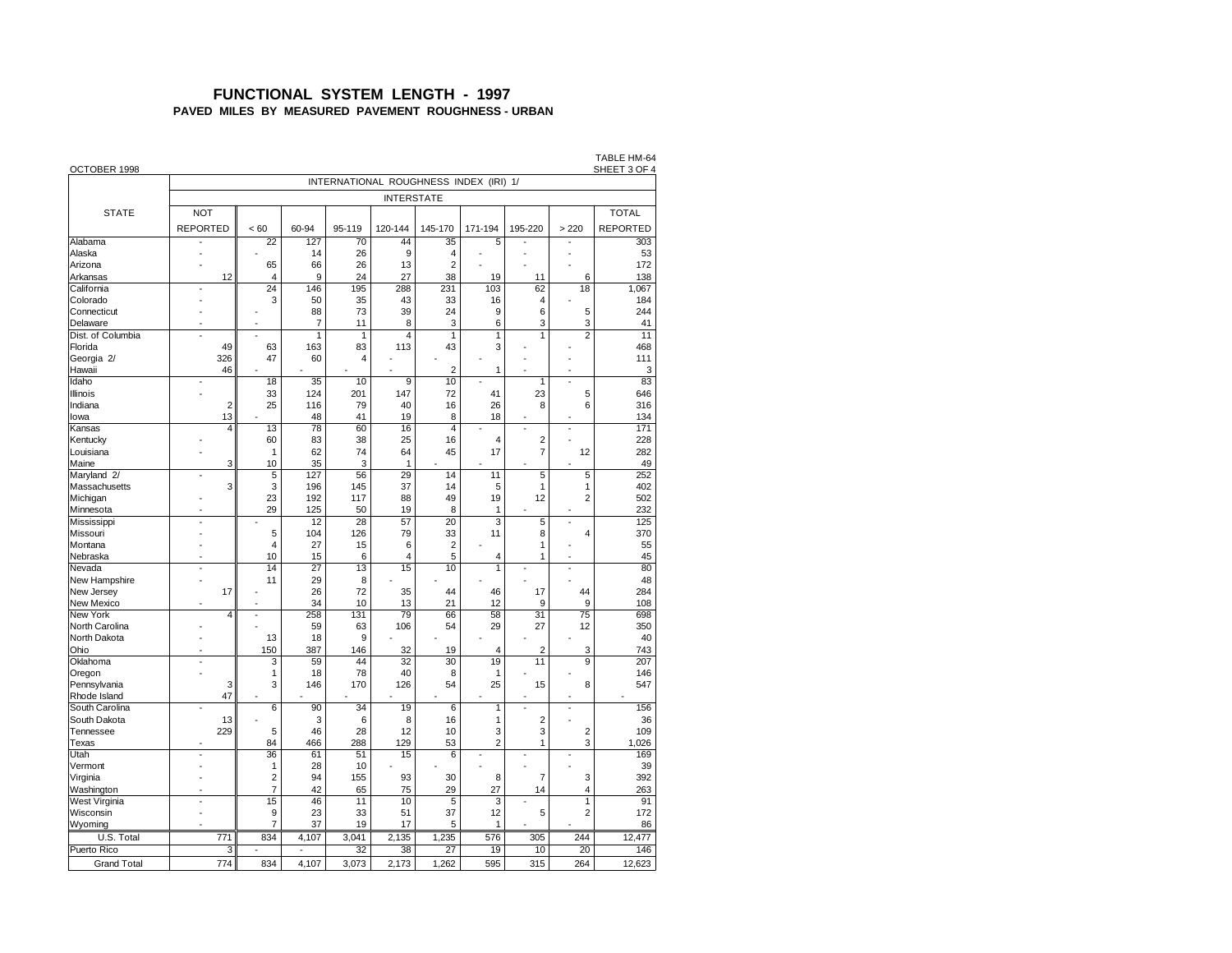#### **FUNCTIONAL SYSTEM LENGTH - 1997 PAVED MILES BY MEASURED PAVEMENT ROUGHNESS - URBAN**

|                    |                         |                           |                         |                |                   |                         | INTERNATIONAL ROUGHNESS INDEX (IRI) 1/ |                |                          |                 |  |  |  |  |  |
|--------------------|-------------------------|---------------------------|-------------------------|----------------|-------------------|-------------------------|----------------------------------------|----------------|--------------------------|-----------------|--|--|--|--|--|
|                    |                         |                           |                         |                | <b>INTERSTATE</b> |                         |                                        |                |                          |                 |  |  |  |  |  |
| <b>STATE</b>       | <b>NOT</b>              |                           |                         |                |                   |                         |                                        |                |                          | <b>TOTAL</b>    |  |  |  |  |  |
|                    | <b>REPORTED</b>         | < 60                      | 60-94                   | 95-119         | 120-144           | 145-170                 | 171-194                                | 195-220        | > 220                    | <b>REPORTED</b> |  |  |  |  |  |
| Alabama            | $\overline{a}$          | 22                        | 127                     | 70             | 44                | $\overline{35}$         | 5                                      |                |                          | 303             |  |  |  |  |  |
| Alaska             |                         |                           | 14                      | 26             | 9                 | 4                       |                                        |                |                          | 53              |  |  |  |  |  |
| Arizona            |                         | 65                        | 66                      | 26             | 13                | $\overline{2}$          |                                        |                |                          | 172             |  |  |  |  |  |
| Arkansas           | 12                      | 4                         | 9                       | 24             | 27                | 38                      | 19                                     | 11             | 6                        | 138             |  |  |  |  |  |
| California         |                         | 24                        | 146                     | 195            | 288               | 231                     | 103                                    | 62             | 18                       | 1,067           |  |  |  |  |  |
| Colorado           |                         | 3                         | 50                      | 35             | 43                | 33                      | 16                                     | 4              |                          | 184             |  |  |  |  |  |
| Connecticut        |                         |                           | 88                      | 73             | 39                | 24                      | 9                                      | 6              | 5                        | 244             |  |  |  |  |  |
| Delaware           |                         |                           | $\overline{7}$          | 11             | 8                 | 3                       | 6                                      | 3              | 3                        | 41              |  |  |  |  |  |
| Dist. of Columbia  |                         |                           | $\overline{\mathbf{1}}$ | $\overline{1}$ | 4                 | $\overline{\mathbf{1}}$ | $\overline{\mathbf{1}}$                | 1              | $\overline{2}$           | 11              |  |  |  |  |  |
| Florida            | 49                      | 63                        | 163                     | 83             | 113               | 43                      | 3                                      |                |                          | 468             |  |  |  |  |  |
| Georgia 2/         | 326                     | 47                        | 60                      | 4              |                   |                         |                                        | ÷,             | $\overline{a}$           | 111             |  |  |  |  |  |
| Hawaii             | 46                      |                           |                         | ٠              | ÷                 | $\overline{2}$          | 1                                      | ÷              | ÷                        | 3               |  |  |  |  |  |
| Idaho              |                         | 18                        | 35                      | 10             | $\overline{9}$    | 10                      |                                        | 1              |                          | 83              |  |  |  |  |  |
| Illinois           |                         | 33                        | 124                     | 201            | 147               | 72                      | 41                                     | 23             | 5                        | 646             |  |  |  |  |  |
| Indiana            | $\overline{2}$          | 25                        | 116                     | 79             | 40                | 16                      | 26                                     | 8              | 6                        | 316             |  |  |  |  |  |
| lowa               | 13                      |                           | 48                      | 41             | 19                | 8                       | 18                                     |                |                          | 134             |  |  |  |  |  |
| Kansas             | $\overline{4}$          | 13                        | 78                      | 60             | 16                | $\overline{4}$          |                                        | $\overline{a}$ | ÷,                       | 171             |  |  |  |  |  |
| Kentucky           |                         | 60                        | 83                      | 38             | 25                | 16                      | 4                                      | $\overline{2}$ | l,                       | 228             |  |  |  |  |  |
|                    |                         |                           |                         | 74             |                   | 45                      | 17                                     | $\overline{7}$ | 12                       | 282             |  |  |  |  |  |
| Louisiana          |                         | 1                         | 62                      |                | 64                |                         |                                        |                |                          |                 |  |  |  |  |  |
| Maine              | 3                       | 10                        | 35                      | 3              | $\mathbf{1}$      |                         |                                        |                |                          | 49              |  |  |  |  |  |
| Maryland 2/        |                         | 5                         | 127                     | 56             | 29                | 14                      | 11                                     | 5              | 5                        | 252             |  |  |  |  |  |
| Massachusetts      | 3                       | 3                         | 196                     | 145            | 37                | 14                      | 5                                      | 1              | 1                        | 402             |  |  |  |  |  |
| Michigan           |                         | 23                        | 192                     | 117            | 88                | 49                      | 19                                     | 12             | $\overline{2}$           | 502             |  |  |  |  |  |
| Minnesota          |                         | 29                        | 125                     | 50             | 19                | 8                       | 1                                      |                |                          | 232             |  |  |  |  |  |
| Mississippi        | -                       |                           | 12                      | 28             | 57                | 20                      | 3                                      | 5              | $\overline{\phantom{a}}$ | 125             |  |  |  |  |  |
| Missouri           |                         | 5                         | 104                     | 126            | 79                | 33                      | 11                                     | 8              | 4                        | 370             |  |  |  |  |  |
| Montana            |                         | 4                         | 27                      | 15             | 6                 | $\overline{2}$          |                                        | 1              | ÷,                       | 55              |  |  |  |  |  |
| Nebraska           |                         | 10                        | 15                      | 6              | 4                 | 5                       | 4                                      | 1              | ÷,                       | 45              |  |  |  |  |  |
| Nevada             |                         | 14                        | 27                      | 13             | 15                | 10                      | 1                                      |                | $\overline{a}$           | 80              |  |  |  |  |  |
| New Hampshire      |                         | 11                        | 29                      | 8              |                   |                         |                                        |                |                          | 48              |  |  |  |  |  |
| New Jersey         | 17                      |                           | 26                      | 72             | 35                | 44                      | 46                                     | 17             | 44                       | 284             |  |  |  |  |  |
| New Mexico         |                         |                           | 34                      | 10             | 13                | 21                      | 12                                     | 9              | 9                        | 108             |  |  |  |  |  |
| <b>New York</b>    | $\overline{\mathbf{4}}$ |                           | 258                     | 131            | 79                | 66                      | 58                                     | 31             | 75                       | 698             |  |  |  |  |  |
| North Carolina     |                         |                           | 59                      | 63             | 106               | 54                      | 29                                     | 27             | 12                       | 350             |  |  |  |  |  |
| North Dakota       |                         | 13                        | 18                      | 9              |                   |                         |                                        |                |                          | 40              |  |  |  |  |  |
| Ohio               |                         | 150                       | 387                     | 146            | 32                | 19                      | 4                                      | $\overline{2}$ | 3                        | 743             |  |  |  |  |  |
| Oklahoma           |                         | $\overline{\overline{3}}$ | 59                      | 44             | 32                | 30                      | 19                                     | 11             | 9                        | 207             |  |  |  |  |  |
| Oregon             |                         | 1                         | 18                      | 78             | 40                | 8                       | 1                                      |                |                          | 146             |  |  |  |  |  |
| Pennsylvania       | 3                       | 3                         | 146                     | 170            | 126               | 54                      | 25                                     | 15             | 8                        | 547             |  |  |  |  |  |
| Rhode Island       | 47                      |                           |                         |                |                   |                         |                                        |                |                          |                 |  |  |  |  |  |
| South Carolina     |                         | 6                         | 90                      | 34             | 19                | 6                       | 1                                      |                |                          | 156             |  |  |  |  |  |
| South Dakota       | 13                      |                           | 3                       | 6              | 8                 | 16                      | 1                                      | $\overline{2}$ | l,                       | 36              |  |  |  |  |  |
| Tennessee          | 229                     | 5                         | 46                      | 28             | 12                | 10                      | 3                                      | 3              | $\overline{2}$           | 109             |  |  |  |  |  |
| Texas              | Ĭ.                      | 84                        | 466                     | 288            | 129               | 53                      | $\overline{c}$                         | 1              | 3                        | 1,026           |  |  |  |  |  |
| Utah               |                         | 36                        | 61                      | 51             | 15                | 6                       | ÷                                      | ÷              |                          | 169             |  |  |  |  |  |
| Vermont            |                         | 1                         | 28                      | 10             |                   |                         |                                        |                |                          | 39              |  |  |  |  |  |
| Virginia           |                         | $\overline{c}$            | 94                      | 155            | 93                | 30                      | 8                                      | $\overline{7}$ | 3                        | 392             |  |  |  |  |  |
| Washington         |                         | $\overline{7}$            | 42                      | 65             | 75                | 29                      | 27                                     | 14             | 4                        | 263             |  |  |  |  |  |
| West Virginia      | ÷,                      | 15                        | 46                      | 11             | 10                | 5                       | 3                                      |                | $\overline{1}$           | 91              |  |  |  |  |  |
| Wisconsin          |                         | 9                         | 23                      | 33             | 51                | 37                      | 12                                     | 5              | $\overline{2}$           | 172             |  |  |  |  |  |
| Wyoming            |                         | $\overline{7}$            | 37                      | 19             | 17                | 5                       | 1                                      |                |                          | 86              |  |  |  |  |  |
|                    |                         |                           |                         |                |                   |                         |                                        |                |                          |                 |  |  |  |  |  |
| U.S. Total         | 771                     | 834                       | 4,107                   | 3.041          | 2.135             | 1.235                   | 576                                    | 305            | 244                      | 12.477          |  |  |  |  |  |
| Puerto Rico        | 3                       |                           | $\overline{a}$          | 32             | 38                | 27                      | 19                                     | 10             | 20                       | 146             |  |  |  |  |  |
| <b>Grand Total</b> | 774                     | 834                       | 4.107                   | 3.073          | 2.173             | 1.262                   | 595                                    | 315            | 264                      | 12.623          |  |  |  |  |  |